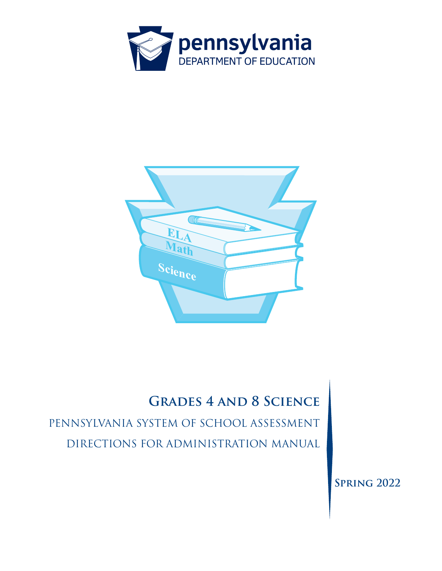



## **Grades 4 and 8 Science**

PENNSYLVANIA SYSTEM OF SCHOOL ASSESSMENT DIRECTIONS FOR ADMINISTRATION MANUAL

**Spring 2022**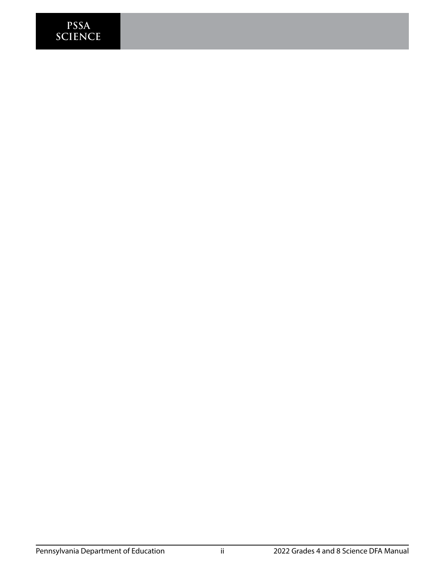## **PSSA SCIENCE**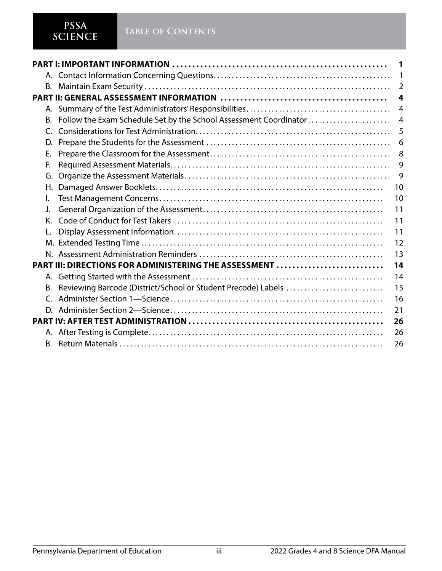## TABLE OF CONTENTS

PSSA<br>SCIENCE

|                |                                                                   | 1              |
|----------------|-------------------------------------------------------------------|----------------|
| B.             |                                                                   | $\overline{2}$ |
|                |                                                                   | 4              |
|                |                                                                   | 4              |
| B.             | Follow the Exam Schedule Set by the School Assessment Coordinator | $\overline{4}$ |
| $\mathsf{C}$ . |                                                                   | 5              |
| D.             |                                                                   | 6              |
| Е.             |                                                                   | 8              |
| F.             |                                                                   | 9              |
| G.             |                                                                   | 9              |
| Н.             |                                                                   | 10             |
|                |                                                                   | 10             |
|                |                                                                   | 11             |
| K.             |                                                                   | 11             |
|                |                                                                   | 11             |
|                |                                                                   | 12             |
| N.             |                                                                   | 13             |
|                | PART III: DIRECTIONS FOR ADMINISTERING THE ASSESSMENT             | 14             |
|                |                                                                   | 14             |
| B.             | Reviewing Barcode (District/School or Student Precode) Labels     | 15             |
|                |                                                                   | 16             |
| D.             |                                                                   | 21             |
|                |                                                                   | 26             |
|                |                                                                   | 26             |
| B.             |                                                                   | 26             |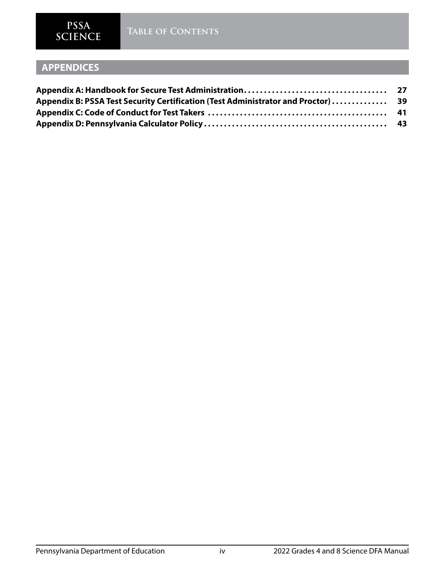## **APPENDICES**

| Appendix B: PSSA Test Security Certification (Test Administrator and Proctor) 39 |  |
|----------------------------------------------------------------------------------|--|
|                                                                                  |  |
|                                                                                  |  |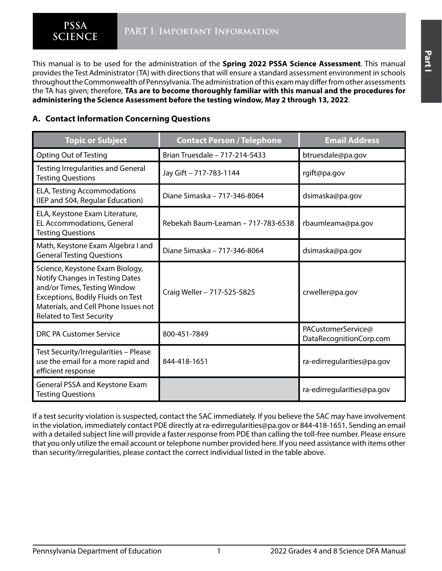<span id="page-4-0"></span>This manual is to be used for the administration of the **Spring 2022 PSSA Science Assessment**. This manual provides the Test Administrator (TA) with directions that will ensure a standard assessment environment in schools throughout the Commonwealth of Pennsylvania. The administration of this exam may differ from other assessments the TA has given; therefore, **TAs are to become thoroughly familiar with this manual and the procedures for administering the Science Assessment before the testing window, May 2 through 13, 2022**.

## **A. Contact Information Concerning Questions**

| <b>Topic or Subject</b>                                                                                                                                                                                            | <b>Contact Person / Telephone</b>  | <b>Email Address</b>                          |
|--------------------------------------------------------------------------------------------------------------------------------------------------------------------------------------------------------------------|------------------------------------|-----------------------------------------------|
| <b>Opting Out of Testing</b>                                                                                                                                                                                       | Brian Truesdale - 717-214-5433     | btruesdale@pa.gov                             |
| <b>Testing Irregularities and General</b><br><b>Testing Questions</b>                                                                                                                                              | Jay Gift - 717-783-1144            | rgift@pa.gov                                  |
| ELA, Testing Accommodations<br>(IEP and 504, Regular Education)                                                                                                                                                    | Diane Simaska - 717-346-8064       | dsimaska@pa.gov                               |
| ELA, Keystone Exam Literature,<br>EL Accommodations, General<br><b>Testing Questions</b>                                                                                                                           | Rebekah Baum-Leaman - 717-783-6538 | rbaumleama@pa.gov                             |
| Math, Keystone Exam Algebra I and<br><b>General Testing Questions</b>                                                                                                                                              | Diane Simaska - 717-346-8064       | dsimaska@pa.gov                               |
| Science, Keystone Exam Biology,<br>Notify Changes in Testing Dates<br>and/or Times, Testing Window<br>Exceptions, Bodily Fluids on Test<br>Materials, and Cell Phone Issues not<br><b>Related to Test Security</b> | Craig Weller - 717-525-5825        | crweller@pa.gov                               |
| <b>DRC PA Customer Service</b>                                                                                                                                                                                     | 800-451-7849                       | PACustomerService@<br>DataRecognitionCorp.com |
| Test Security/Irregularities - Please<br>use the email for a more rapid and<br>efficient response                                                                                                                  | 844-418-1651                       | ra-edirregularities@pa.gov                    |
| General PSSA and Keystone Exam<br><b>Testing Questions</b>                                                                                                                                                         |                                    | ra-edirregularities@pa.gov                    |

If a test security violation is suspected, contact the SAC immediately. If you believe the SAC may have involvement in the violation, immediately contact PDE directly at [ra-edirregularities@pa.gov](mailto:ra-edirregularities%40pa.gov?subject=) or 844-418-1651. Sending an email with a detailed subject line will provide a faster response from PDE than calling the toll-free number. Please ensure that you only utilize the email account or telephone number provided here. If you need assistance with items other than security/irregularities, please contact the correct individual listed in the table above.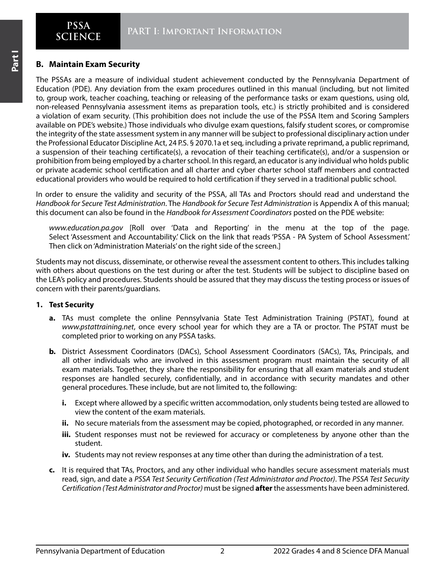#### **B.** Maintain Exam Security

The PSSAs are a measure of individual student achievement conducted by the Pennsylvania Department of Education (PDE). Any deviation from the exam procedures outlined in this manual (including, but not limited to, group work, teacher coaching, teaching or releasing of the performance tasks or exam questions, using old, non-released Pennsylvania assessment items as preparation tools, etc.) is strictly prohibited and is considered a violation of exam security. (This prohibition does not include the use of the PSSA Item and Scoring Samplers available on PDE's website.) Those individuals who divulge exam questions, falsify student scores, or compromise the integrity of the state assessment system in any manner will be subject to professional disciplinary action under the Professional Educator Discipline Act, 24 P.S. § 2070.1a et seq, including a private reprimand, a public reprimand, a suspension of their teaching certificate(s), a revocation of their teaching certificate(s), and/or a suspension or prohibition from being employed by a charter school. In this regard, an educator is any individual who holds public or private academic school certification and all charter and cyber charter school staff members and contracted educational providers who would be required to hold certification if they served in a traditional public school.

In order to ensure the validity and security of the PSSA, all TAs and Proctors should read and understand the *Handbook for Secure Test Administration*. The *Handbook for Secure Test Administration* is [Appendix A](#page-30-0) of this manual; this document can also be found in the *Handbook for Assessment Coordinators* posted on the PDE website:

*[www.education.pa.gov](http://www.education.pa.gov)* [Roll over 'Data and Reporting' in the menu at the top of the page. Select 'Assessment and Accountability.' Click on the link that reads 'PSSA - PA System of School Assessment.' Then click on 'Administration Materials' on the right side of the screen.]

Students may not discuss, disseminate, or otherwise reveal the assessment content to others. This includes talking with others about questions on the test during or after the test. Students will be subject to discipline based on the LEA's policy and procedures. Students should be assured that they may discuss the testing process or issues of concern with their parents/guardians.

#### **1. Test Security**

- **a.** TAs must complete the online Pennsylvania State Test Administration Training (PSTAT), found at *[www.pstattraining.net](http://www.pstattraining.net)*, once every school year for which they are a TA or proctor. The PSTAT must be completed prior to working on any PSSA tasks.
- **b.** District Assessment Coordinators (DACs), School Assessment Coordinators (SACs), TAs, Principals, and all other individuals who are involved in this assessment program must maintain the security of all exam materials. Together, they share the responsibility for ensuring that all exam materials and student responses are handled securely, confidentially, and in accordance with security mandates and other general procedures. These include, but are not limited to, the following:
	- **i.** Except where allowed by a specific written accommodation, only students being tested are allowed to view the content of the exam materials.
	- **ii.** No secure materials from the assessment may be copied, photographed, or recorded in any manner.
	- **iii.** Student responses must not be reviewed for accuracy or completeness by anyone other than the student.
	- **iv.** Students may not review responses at any time other than during the administration of a test.
- **c .** It is required that TAs, Proctors, and any other individual who handles secure assessment materials must read, sign, and date a *PSSA Test Security Certification (Test Administrator and Proctor)*. The *PSSA Test Security Certification (Test Administrator and Proctor)* must be signed **after** the assessments have been administered.

<span id="page-5-0"></span>**Part I**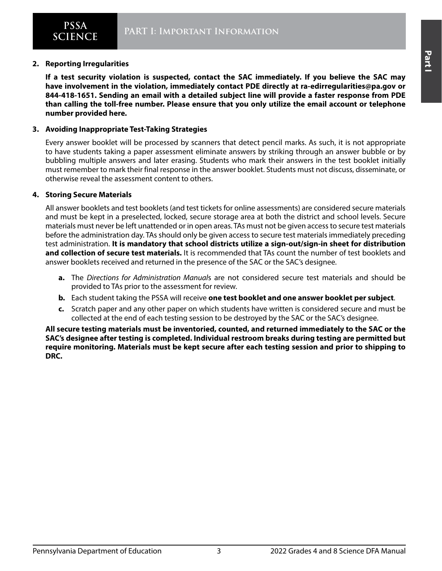## **2 . Reporting Irregularities**

**If a test security violation is suspected, contact the SAC immediately . If you believe the SAC may have involvement in the violation, immediately contact PDE directly at [ra-edirregularities@pa .gov](mailto:ra-edirregularities%40pa.gov?subject=) or 844-418-1651 . Sending an email with a detailed subject line will provide a faster response from PDE than calling the toll-free number . Please ensure that you only utilize the email account or telephone number provided here .**

## **3 . Avoiding Inappropriate Test-Taking Strategies**

Every answer booklet will be processed by scanners that detect pencil marks. As such, it is not appropriate to have students taking a paper assessment eliminate answers by striking through an answer bubble or by bubbling multiple answers and later erasing. Students who mark their answers in the test booklet initially must remember to mark their final response in the answer booklet. Students must not discuss, disseminate, or otherwise reveal the assessment content to others.

## **4 . Storing Secure Materials**

All answer booklets and test booklets (and test tickets for online assessments) are considered secure materials and must be kept in a preselected, locked, secure storage area at both the district and school levels. Secure materials must never be left unattended or in open areas. TAs must not be given access to secure test materials before the administration day. TAs should only be given access to secure test materials immediately preceding test administration. **It is mandatory that school districts utilize a sign-out/sign-in sheet for distribution and collection of secure test materials .** It is recommended that TAs count the number of test booklets and answer booklets received and returned in the presence of the SAC or the SAC's designee.

- **a.** The *Directions for Administration Manuals* are not considered secure test materials and should be provided to TAs prior to the assessment for review.
- **b .** Each student taking the PSSA will receive **one test booklet and one answer booklet per subject**.
- **c .** Scratch paper and any other paper on which students have written is considered secure and must be collected at the end of each testing session to be destroyed by the SAC or the SAC's designee.

**All secure testing materials must be inventoried, counted, and returned immediately to the SAC or the SAC's designee after testing is completed . Individual restroom breaks during testing are permitted but require monitoring . Materials must be kept secure after each testing session and prior to shipping to**  DRC.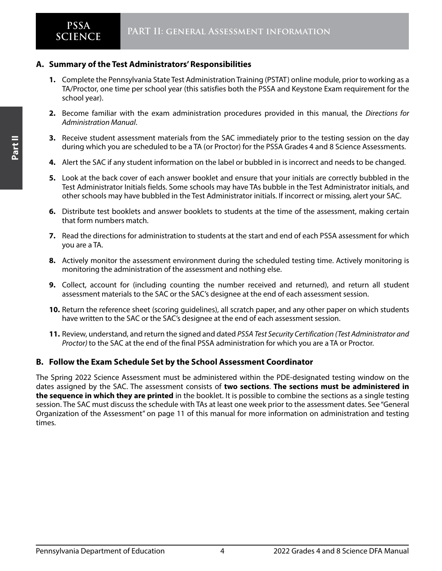#### <span id="page-7-0"></span>**A . Summary of the Test Administrators' Responsibilities**

- **1 .** Complete the Pennsylvania State Test Administration Training (PSTAT) online module, prior to working as a TA/Proctor, one time per school year (this satisfies both the PSSA and Keystone Exam requirement for the school year).
- **2 .** Become familiar with the exam administration procedures provided in this manual, the *Directions for Administration Manual*.
- **3.** Receive student assessment materials from the SAC immediately prior to the testing session on the day during which you are scheduled to be a TA (or Proctor) for the PSSA Grades 4 and 8 Science Assessments.
- **4 .** Alert the SAC if any student information on the label or bubbled in is incorrect and needs to be changed.
- **5.** Look at the back cover of each answer booklet and ensure that your initials are correctly bubbled in the Test Administrator Initials fields. Some schools may have TAs bubble in the Test Administrator initials, and other schools may have bubbled in the Test Administrator initials. If incorrect or missing, alert your SAC.
- **6 .** Distribute test booklets and answer booklets to students at the time of the assessment, making certain that form numbers match.
- **7 .** Read the directions for administration to students at the start and end of each PSSA assessment for which you are a TA.
- **8 .** Actively monitor the assessment environment during the scheduled testing time. Actively monitoring is monitoring the administration of the assessment and nothing else.
- **9.** Collect, account for (including counting the number received and returned), and return all student assessment materials to the SAC or the SAC's designee at the end of each assessment session.
- **10.** Return the reference sheet (scoring guidelines), all scratch paper, and any other paper on which students have written to the SAC or the SAC's designee at the end of each assessment session.
- **11 .** Review, understand, and return the signed and dated *PSSA Test Security Certification (Test Administrator and Proctor)* to the SAC at the end of the final PSSA administration for which you are a TA or Proctor.

#### **B . Follow the Exam Schedule Set by the School Assessment Coordinator**

The Spring 2022 Science Assessment must be administered within the PDE-designated testing window on the dates assigned by the SAC. The assessment consists of **two sections**. **The sections must be administered in the sequence in which they are printed** in the booklet. It is possible to combine the sections as a single testing session. The SAC must discuss the schedule with TAs at least one week prior to the assessment dates. See "General Organization of the Assessment" on [page 11](#page-14-1) of this manual for more information on administration and testing times.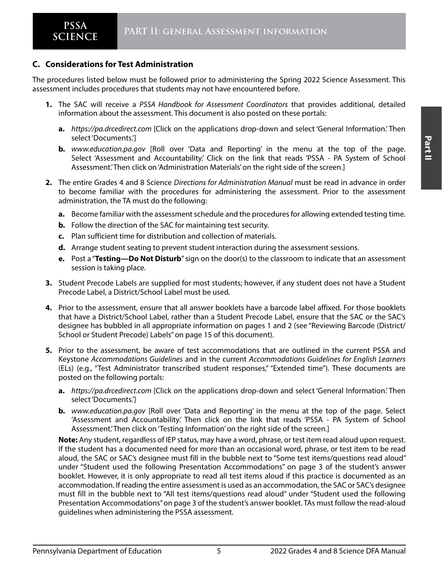#### **C . Considerations for Test Administration**

<span id="page-8-0"></span>PSSA<br>Science

The procedures listed below must be followed prior to administering the Spring 2022 Science Assessment. This assessment includes procedures that students may not have encountered before.

- **1 .** The SAC will receive a *PSSA Handbook for Assessment Coordinators* that provides additional, detailed information about the assessment. This document is also posted on these portals:
	- **a .** *<https://pa.drcedirect.com>* [Click on the applications drop-down and select 'General Information.' Then select 'Documents.']
	- **b.** *[www.education.pa.gov](http://www.education.pa.gov)* [Roll over 'Data and Reporting' in the menu at the top of the page. Select 'Assessment and Accountability.' Click on the link that reads 'PSSA - PA System of School Assessment.' Then click on 'Administration Materials' on the right side of the screen.]
- **2 .** The entire Grades 4 and 8 Science *Directions for Administration Manual* must be read in advance in order to become familiar with the procedures for administering the assessment. Prior to the assessment administration, the TA must do the following:
	- **a.** Become familiar with the assessment schedule and the procedures for allowing extended testing time.
	- **b.** Follow the direction of the SAC for maintaining test security.
	- **c .** Plan sufficient time for distribution and collection of materials.
	- **d.** Arrange student seating to prevent student interaction during the assessment sessions.
	- **e .** Post a "**Testing—Do Not Disturb**" sign on the door(s) to the classroom to indicate that an assessment session is taking place.
- **3 .** Student Precode Labels are supplied for most students; however, if any student does not have a Student Precode Label, a District/School Label must be used.
- **4 .** Prior to the assessment, ensure that all answer booklets have a barcode label affixed. For those booklets that have a District/School Label, rather than a Student Precode Label, ensure that the SAC or the SAC's designee has bubbled in all appropriate information on pages 1 and 2 (see "Reviewing Barcode (District/ School or Student Precode) Labels" on [page 15](#page-18-1) of this document).
- **5.** Prior to the assessment, be aware of test accommodations that are outlined in the current PSSA and Keystone *Accommodations Guidelines* and in the current *Accommodations Guidelines for English Learners* (ELs) (e.g., "Test Administrator transcribed student responses," "Extended time"). These documents are posted on the following portals:
	- **a.** *<https://pa.drcedirect.com>* [Click on the applications drop-down and select 'General Information.' Then select 'Documents.']
	- **b.** *[www.education.pa.gov](http://www.education.pa.gov)* [Roll over 'Data and Reporting' in the menu at the top of the page. Select 'Assessment and Accountability.' Then click on the link that reads 'PSSA - PA System of School Assessment.' Then click on 'Testing Information' on the right side of the screen.]

**Note:** Any student, regardless of IEP status, may have a word, phrase, or test item read aloud upon request. If the student has a documented need for more than an occasional word, phrase, or test item to be read aloud, the SAC or SAC's designee must fill in the bubble next to "Some test items/questions read aloud" under "Student used the following Presentation Accommodations" on page 3 of the student's answer booklet. However, it is only appropriate to read all test items aloud if this practice is documented as an accommodation. If reading the entire assessment is used as an accommodation, the SAC or SAC's designee must fill in the bubble next to "All test items/questions read aloud" under "Student used the following Presentation Accommodations" on page 3 of the student's answer booklet. TAs must follow the read-aloud guidelines when administering the PSSA assessment.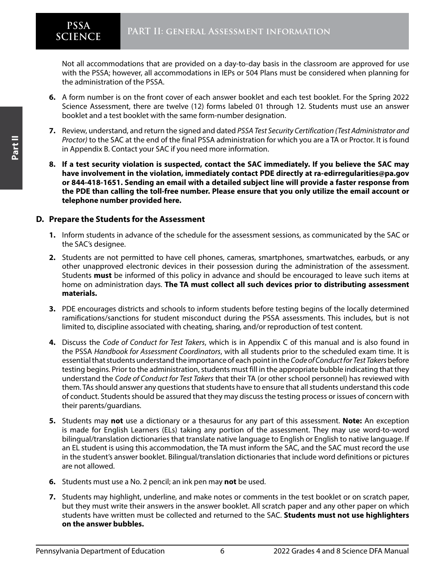<span id="page-9-0"></span>

Not all accommodations that are provided on a day-to-day basis in the classroom are approved for use with the PSSA; however, all accommodations in IEPs or 504 Plans must be considered when planning for the administration of the PSSA.

- **6 .** A form number is on the front cover of each answer booklet and each test booklet. For the Spring 2022 Science Assessment, there are twelve (12) forms labeled 01 through 12. Students must use an answer booklet and a test booklet with the same form-number designation.
- **7 .** Review, understand, and return the signed and dated *PSSA Test Security Certification (Test Administrator and Proctor)* to the SAC at the end of the final PSSA administration for which you are a TA or Proctor. It is found in [Appendix B.](#page-42-0) Contact your SAC if you need more information.
- **8 . If a test security violation is suspected, contact the SAC immediately . If you believe the SAC may have involvement in the violation, immediately contact PDE directly at [ra-edirregularities@pa .gov](mailto:ra-edirregularities%40pa.gov?subject=) or 844-418-1651 . Sending an email with a detailed subject line will provide a faster response from the PDE than calling the toll-free number . Please ensure that you only utilize the email account or telephone number provided here .**

#### **D. Prepare the Students for the Assessment**

- **1 .** Inform students in advance of the schedule for the assessment sessions, as communicated by the SAC or the SAC's designee.
- 2. Students are not permitted to have cell phones, cameras, smartphones, smartwatches, earbuds, or any other unapproved electronic devices in their possession during the administration of the assessment. Students **must** be informed of this policy in advance and should be encouraged to leave such items at home on administration days. **The TA must collect all such devices prior to distributing assessment materials .**
- **3 .** PDE encourages districts and schools to inform students before testing begins of the locally determined ramifications/sanctions for student misconduct during the PSSA assessments. This includes, but is not limited to, discipline associated with cheating, sharing, and/or reproduction of test content.
- **4 .** Discuss the *Code of Conduct for Test Takers*, which is in [Appendix C](#page-44-0) of this manual and is also found in the PSSA *Handbook for Assessment Coordinators*, with all students prior to the scheduled exam time. It is essential that students understand the importance of each point in the *Code of Conduct for Test Takers* before testing begins. Prior to the administration, students must fill in the appropriate bubble indicating that they understand the *Code of Conduct for Test Takers* that their TA (or other school personnel) has reviewed with them. TAs should answer any questions that students have to ensure that all students understand this code of conduct. Students should be assured that they may discuss the testing process or issues of concern with their parents/guardians.
- **5 .** Students may **not** use a dictionary or a thesaurus for any part of this assessment. **Note:** An exception is made for English Learners (ELs) taking any portion of the assessment. They may use word-to-word bilingual/translation dictionaries that translate native language to English or English to native language. If an EL student is using this accommodation, the TA must inform the SAC, and the SAC must record the use in the student's answer booklet. Bilingual/translation dictionaries that include word definitions or pictures are not allowed.
- **6 .** Students must use a No. 2 pencil; an ink pen may **not** be used.
- **7 .** Students may highlight, underline, and make notes or comments in the test booklet or on scratch paper, but they must write their answers in the answer booklet. All scratch paper and any other paper on which students have written must be collected and returned to the SAC. **Students must not use highlighters on the answer bubbles .**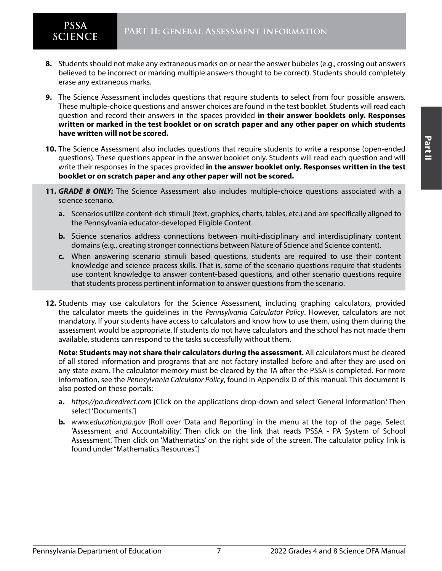- **8 .** Students should not make any extraneous marks on or near the answer bubbles (e.g., crossing out answers believed to be incorrect or marking multiple answers thought to be correct). Students should completely erase any extraneous marks.
- **9.** The Science Assessment includes questions that require students to select from four possible answers. These multiple-choice questions and answer choices are found in the test booklet. Students will read each question and record their answers in the spaces provided **in their answer booklets only . Responses written or marked in the test booklet or on scratch paper and any other paper on which students have written will not be scored .**
- **10.** The Science Assessment also includes questions that require students to write a response (open-ended questions). These questions appear in the answer booklet only. Students will read each question and will write their responses in the spaces provided **in the answer booklet only . Responses written in the test booklet or on scratch paper and any other paper will not be scored .**
- **11. GRADE 8 ONLY:** The Science Assessment also includes multiple-choice questions associated with a science scenario.
	- **a.** Scenarios utilize content-rich stimuli (text, graphics, charts, tables, etc.) and are specifically aligned to the Pennsylvania educator-developed Eligible Content.
	- **b.** Science scenarios address connections between multi-disciplinary and interdisciplinary content domains (e.g., creating stronger connections between Nature of Science and Science content).
	- **c .** When answering scenario stimuli based questions, students are required to use their content knowledge and science process skills. That is, some of the scenario questions require that students use content knowledge to answer content-based questions, and other scenario questions require that students process pertinent information to answer questions from the scenario.
- **12 .** Students may use calculators for the Science Assessment, including graphing calculators, provided the calculator meets the guidelines in the *Pennsylvania Calculator Policy*. However, calculators are not mandatory. If your students have access to calculators and know how to use them, using them during the assessment would be appropriate. If students do not have calculators and the school has not made them available, students can respond to the tasks successfully without them.

Note: Students may not share their calculators during the assessment. All calculators must be cleared of all stored information and programs that are not factory installed before and after they are used on any state exam. The calculator memory must be cleared by the TA after the PSSA is completed. For more information, see the *Pennsylvania Calculator Policy*, found in [Appendix D](#page-46-0) of this manual. This document is also posted on these portals:

- **a.** *<https://pa.drcedirect.com>* [Click on the applications drop-down and select 'General Information.' Then select 'Documents.']
- **b.** *[www.education.pa.gov](http://www.education.pa.gov)* [Roll over 'Data and Reporting' in the menu at the top of the page. Select 'Assessment and Accountability.' Then click on the link that reads 'PSSA - PA System of School Assessment.' Then click on 'Mathematics' on the right side of the screen. The calculator policy link is found under "Mathematics Resources".]

**PSSA**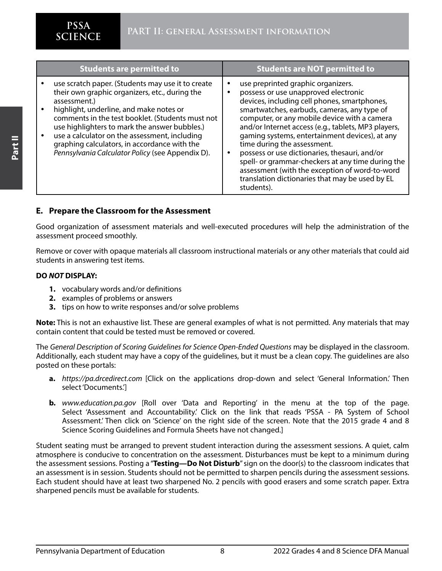<span id="page-11-0"></span>

| <b>Students are permitted to</b>                                                                                                                                                                                                                                                                                                                                                                                         | <b>Students are NOT permitted to</b>                                                                                                                                                                                                                                                                                                                                                                                                                                                                                                                                                       |
|--------------------------------------------------------------------------------------------------------------------------------------------------------------------------------------------------------------------------------------------------------------------------------------------------------------------------------------------------------------------------------------------------------------------------|--------------------------------------------------------------------------------------------------------------------------------------------------------------------------------------------------------------------------------------------------------------------------------------------------------------------------------------------------------------------------------------------------------------------------------------------------------------------------------------------------------------------------------------------------------------------------------------------|
| use scratch paper. (Students may use it to create<br>their own graphic organizers, etc., during the<br>assessment.)<br>highlight, underline, and make notes or<br>comments in the test booklet. (Students must not<br>use highlighters to mark the answer bubbles.)<br>use a calculator on the assessment, including<br>graphing calculators, in accordance with the<br>Pennsylvania Calculator Policy (see Appendix D). | use preprinted graphic organizers.<br>possess or use unapproved electronic<br>devices, including cell phones, smartphones,<br>smartwatches, earbuds, cameras, any type of<br>computer, or any mobile device with a camera<br>and/or Internet access (e.g., tablets, MP3 players,<br>gaming systems, entertainment devices), at any<br>time during the assessment.<br>possess or use dictionaries, thesauri, and/or<br>spell- or grammar-checkers at any time during the<br>assessment (with the exception of word-to-word<br>translation dictionaries that may be used by EL<br>students). |

#### **E.** Prepare the Classroom for the Assessment

Good organization of assessment materials and well-executed procedures will help the administration of the assessment proceed smoothly.

Remove or cover with opaque materials all classroom instructional materials or any other materials that could aid students in answering test items.

#### **DO** *NOT* **DISPLAY:**

- **1.** vocabulary words and/or definitions
- **2.** examples of problems or answers
- **3.** tips on how to write responses and/or solve problems

**Note:** This is not an exhaustive list. These are general examples of what is not permitted. Any materials that may contain content that could be tested must be removed or covered.

The *General Description of Scoring Guidelines for Science Open-Ended Questions* may be displayed in the classroom. Additionally, each student may have a copy of the guidelines, but it must be a clean copy. The guidelines are also posted on these portals:

- **a.** *<https://pa.drcedirect.com>* [Click on the applications drop-down and select 'General Information.' Then select 'Documents.']
- **b.** *[www.education.pa.gov](http://www.education.pa.gov)* [Roll over 'Data and Reporting' in the menu at the top of the page. Select 'Assessment and Accountability.' Click on the link that reads 'PSSA - PA System of School Assessment.' Then click on 'Science' on the right side of the screen. Note that the 2015 grade 4 and 8 Science Scoring Guidelines and Formula Sheets have not changed.]

Student seating must be arranged to prevent student interaction during the assessment sessions. A quiet, calm atmosphere is conducive to concentration on the assessment. Disturbances must be kept to a minimum during the assessment sessions. Posting a "**Testing—Do Not Disturb**" sign on the door(s) to the classroom indicates that an assessment is in session. Students should not be permitted to sharpen pencils during the assessment sessions. Each student should have at least two sharpened No. 2 pencils with good erasers and some scratch paper. Extra sharpened pencils must be available for students.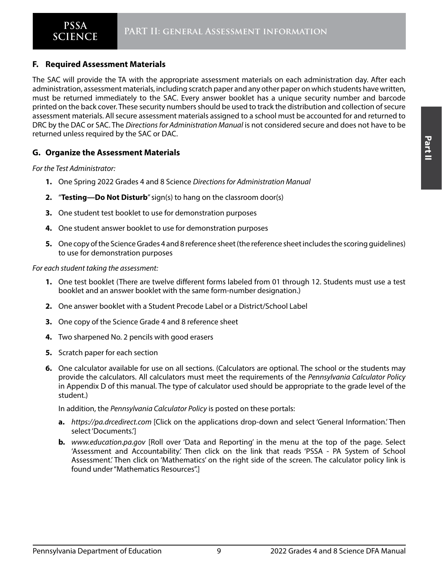#### **F.** Required Assessment Materials

The SAC will provide the TA with the appropriate assessment materials on each administration day. After each administration, assessment materials, including scratch paper and any other paper on which students have written, must be returned immediately to the SAC. Every answer booklet has a unique security number and barcode printed on the back cover. These security numbers should be used to track the distribution and collection of secure assessment materials. All secure assessment materials assigned to a school must be accounted for and returned to DRC by the DAC or SAC. The *Directions for Administration Manual* is not considered secure and does not have to be returned unless required by the SAC or DAC.

#### **G . Organize the Assessment Materials**

*For the Test Administrator:*

<span id="page-12-0"></span>PSSA<br>Science

- **1 .** One Spring 2022 Grades 4 and 8 Science *Directions for Administration Manual*
- **2. "Testing—Do Not Disturb**" sign(s) to hang on the classroom door(s)
- **3.** One student test booklet to use for demonstration purposes
- **4 .** One student answer booklet to use for demonstration purposes
- **5 .** One copy of the Science Grades 4 and 8 reference sheet (the reference sheet includes the scoring guidelines) to use for demonstration purposes

*For each student taking the assessment:*

- **1 .** One test booklet (There are twelve different forms labeled from 01 through 12. Students must use a test booklet and an answer booklet with the same form-number designation.)
- **2 .** One answer booklet with a Student Precode Label or a District/School Label
- **3.** One copy of the Science Grade 4 and 8 reference sheet
- **4.** Two sharpened No. 2 pencils with good erasers
- **5.** Scratch paper for each section
- **6.** One calculator available for use on all sections. (Calculators are optional. The school or the students may provide the calculators. All calculators must meet the requirements of the *Pennsylvania Calculator Policy* in [Appendix D](#page-46-0) of this manual. The type of calculator used should be appropriate to the grade level of the student.)

In addition, the *Pennsylvania Calculator Policy* is posted on these portals:

- **a .** *<https://pa.drcedirect.com>* [Click on the applications drop-down and select 'General Information.' Then select 'Documents.']
- **b.** *[www.education.pa.gov](http://www.education.pa.gov)* [Roll over 'Data and Reporting' in the menu at the top of the page. Select 'Assessment and Accountability.' Then click on the link that reads 'PSSA - PA System of School Assessment.' Then click on 'Mathematics' on the right side of the screen. The calculator policy link is found under "Mathematics Resources".]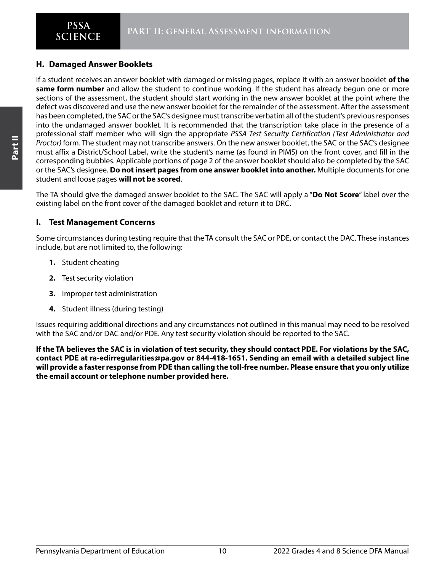#### <span id="page-13-0"></span>**H. Damaged Answer Booklets**

If a student receives an answer booklet with damaged or missing pages, replace it with an answer booklet **of the same form number** and allow the student to continue working. If the student has already begun one or more sections of the assessment, the student should start working in the new answer booklet at the point where the defect was discovered and use the new answer booklet for the remainder of the assessment. After the assessment has been completed, the SAC or the SAC's designee must transcribe verbatim all of the student's previous responses into the undamaged answer booklet. It is recommended that the transcription take place in the presence of a professional staff member who will sign the appropriate *PSSA Test Security Certification (Test Administrator and Proctor)* form. The student may not transcribe answers. On the new answer booklet, the SAC or the SAC's designee must affix a District/School Label, write the student's name (as found in PIMS) on the front cover, and fill in the corresponding bubbles. Applicable portions of page 2 of the answer booklet should also be completed by the SAC or the SAC's designee. **Do not insert pages from one answer booklet into another .** Multiple documents for one student and loose pages **will not be scored**.

The TA should give the damaged answer booklet to the SAC. The SAC will apply a "**Do Not Score**" label over the existing label on the front cover of the damaged booklet and return it to DRC.

#### **I.** Test Management Concerns

Some circumstances during testing require that the TA consult the SAC or PDE, or contact the DAC. These instances include, but are not limited to, the following:

- **1.** Student cheating
- **2.** Test security violation
- **3.** Improper test administration
- **4.** Student illness (during testing)

Issues requiring additional directions and any circumstances not outlined in this manual may need to be resolved with the SAC and/or DAC and/or PDE. Any test security violation should be reported to the SAC.

**If the TA believes the SAC is in violation of test security, they should contact PDE . For violations by the SAC, contact PDE at [ra-edirregularities@pa .gov](mailto:ra-edirregularities%40pa.gov?subject=) or 844-418-1651 . Sending an email with a detailed subject line will provide a faster response from PDE than calling the toll-free number . Please ensure that you only utilize the email account or telephone number provided here .**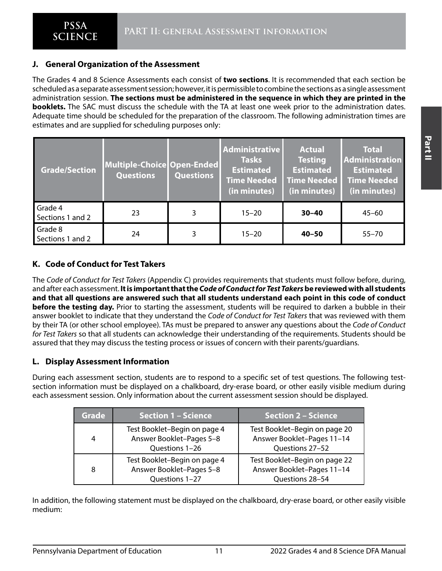#### <span id="page-14-1"></span><span id="page-14-0"></span>**J. General Organization of the Assessment**

The Grades 4 and 8 Science Assessments each consist of **two sections**. It is recommended that each section be scheduled as a separate assessment session; however, it is permissible to combine the sections as a single assessment administration session. **The sections must be administered in the sequence in which they are printed in the booklets.** The SAC must discuss the schedule with the TA at least one week prior to the administration dates. Adequate time should be scheduled for the preparation of the classroom. The following administration times are estimates and are supplied for scheduling purposes only:

| <b>Grade/Section</b>        | Multiple-Choice Open-Ended<br><b>Questions</b> | Questions | <b>Administrative</b><br><b>Tasks</b><br><b>Estimated</b><br><b>Time Needed</b><br>(in minutes) | <b>Actual</b><br><b>Testing</b><br><b>Estimated</b><br><b>Time Needed</b><br>(in minutes) | <b>Total</b><br>Administration<br><b>Estimated</b><br><b>Time Needed</b><br>(in minutes) |
|-----------------------------|------------------------------------------------|-----------|-------------------------------------------------------------------------------------------------|-------------------------------------------------------------------------------------------|------------------------------------------------------------------------------------------|
| Grade 4<br>Sections 1 and 2 | 23                                             | 3         | $15 - 20$                                                                                       | $30 - 40$                                                                                 | $45 - 60$                                                                                |
| Grade 8<br>Sections 1 and 2 | 24                                             | 3         | $15 - 20$                                                                                       | $40 - 50$                                                                                 | $55 - 70$                                                                                |

### **K.** Code of Conduct for Test Takers

The *Code of Conduct for Test Takers* ([Appendix C](#page-44-0)) provides requirements that students must follow before, during, and after each assessment. **It is important that the** *Code of Conduct for Test Takers* **be reviewed with all students and that all questions are answered such that all students understand each point in this code of conduct before the testing day.** Prior to starting the assessment, students will be required to darken a bubble in their answer booklet to indicate that they understand the *Code of Conduct for Test Takers* that was reviewed with them by their TA (or other school employee). TAs must be prepared to answer any questions about the *Code of Conduct for Test Takers* so that all students can acknowledge their understanding of the requirements. Students should be assured that they may discuss the testing process or issues of concern with their parents/guardians.

### **L. Display Assessment Information**

During each assessment section, students are to respond to a specific set of test questions. The following testsection information must be displayed on a chalkboard, dry-erase board, or other easily visible medium during each assessment session. Only information about the current assessment session should be displayed.

| Grade | <b>Section 1 - Science</b>                                                 | <b>Section 2 - Science</b>                                                     |
|-------|----------------------------------------------------------------------------|--------------------------------------------------------------------------------|
| 4     | Test Booklet-Begin on page 4<br>Answer Booklet-Pages 5-8<br>Questions 1-26 | Test Booklet-Begin on page 20<br>Answer Booklet-Pages 11-14<br>Questions 27-52 |
| 8     | Test Booklet-Begin on page 4<br>Answer Booklet-Pages 5-8<br>Questions 1-27 | Test Booklet-Begin on page 22<br>Answer Booklet-Pages 11-14<br>Questions 28-54 |

In addition, the following statement must be displayed on the chalkboard, dry-erase board, or other easily visible medium: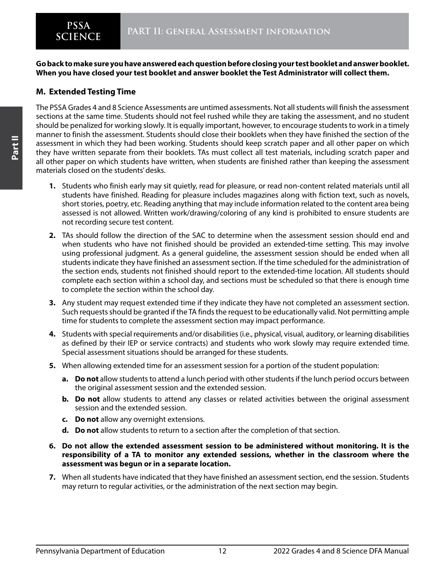<span id="page-15-0"></span>**Go back to make sure you have answered each question before closing your test booklet and answer booklet . When you have closed your test booklet and answer booklet the Test Administrator will collect them .**

### **M. Extended Testing Time**

The PSSA Grades 4 and 8 Science Assessments are untimed assessments. Not all students will finish the assessment sections at the same time. Students should not feel rushed while they are taking the assessment, and no student should be penalized for working slowly. It is equally important, however, to encourage students to work in a timely manner to finish the assessment. Students should close their booklets when they have finished the section of the assessment in which they had been working. Students should keep scratch paper and all other paper on which they have written separate from their booklets. TAs must collect all test materials, including scratch paper and all other paper on which students have written, when students are finished rather than keeping the assessment materials closed on the students' desks.

- **1 .** Students who finish early may sit quietly, read for pleasure, or read non-content related materials until all students have finished. Reading for pleasure includes magazines along with fiction text, such as novels, short stories, poetry, etc. Reading anything that may include information related to the content area being assessed is not allowed. Written work/drawing/coloring of any kind is prohibited to ensure students are not recording secure test content.
- **2.** TAs should follow the direction of the SAC to determine when the assessment session should end and when students who have not finished should be provided an extended-time setting. This may involve using professional judgment. As a general guideline, the assessment session should be ended when all students indicate they have finished an assessment section. If the time scheduled for the administration of the section ends, students not finished should report to the extended-time location. All students should complete each section within a school day, and sections must be scheduled so that there is enough time to complete the section within the school day.
- **3 .** Any student may request extended time if they indicate they have not completed an assessment section. Such requests should be granted if the TA finds the request to be educationally valid. Not permitting ample time for students to complete the assessment section may impact performance.
- **4 .** Students with special requirements and/or disabilities (i.e., physical, visual, auditory, or learning disabilities as defined by their IEP or service contracts) and students who work slowly may require extended time. Special assessment situations should be arranged for these students.
- **5 .** When allowing extended time for an assessment session for a portion of the student population:
	- **a.** Do not allow students to attend a lunch period with other students if the lunch period occurs between the original assessment session and the extended session.
	- **b.** Do not allow students to attend any classes or related activities between the original assessment session and the extended session.
	- **c.** Do not allow any overnight extensions.
	- **d.** Do not allow students to return to a section after the completion of that section.
- **6 . Do not allow the extended assessment session to be administered without monitoring . It is the responsibility of a TA to monitor any extended sessions, whether in the classroom where the assessment was begun or in a separate location .**
- **7 .** When all students have indicated that they have finished an assessment section, end the session. Students may return to regular activities, or the administration of the next section may begin.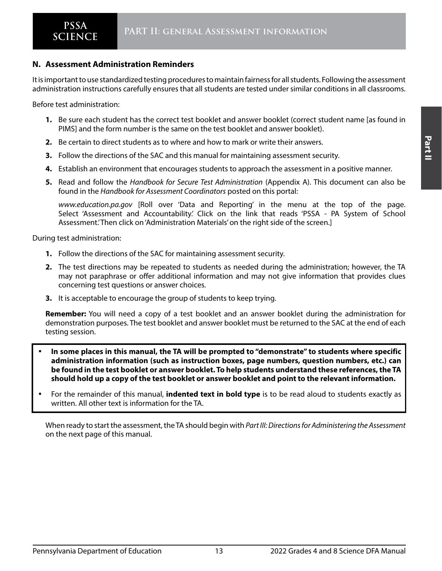#### **N. Assessment Administration Reminders**

It is important to use standardized testing procedures to maintain fairness for all students. Following the assessment administration instructions carefully ensures that all students are tested under similar conditions in all classrooms.

Before test administration:

<span id="page-16-0"></span>PSSA<br>Science

- **1 .** Be sure each student has the correct test booklet and answer booklet (correct student name [as found in PIMS] and the form number is the same on the test booklet and answer booklet).
- **2 .** Be certain to direct students as to where and how to mark or write their answers.
- **3.** Follow the directions of the SAC and this manual for maintaining assessment security.
- **4 .** Establish an environment that encourages students to approach the assessment in a positive manner.
- **5 .** Read and follow the *Handbook for Secure Test Administration* ([Appendix A\)](#page-30-0). This document can also be found in the *Handbook for Assessment Coordinators* posted on this portal:

*[www.education.pa.gov](http://www.education.pa.gov)* [Roll over 'Data and Reporting' in the menu at the top of the page. Select 'Assessment and Accountability.' Click on the link that reads 'PSSA - PA System of School Assessment.' Then click on 'Administration Materials' on the right side of the screen.]

During test administration:

- **1 .** Follow the directions of the SAC for maintaining assessment security.
- **2.** The test directions may be repeated to students as needed during the administration; however, the TA may not paraphrase or offer additional information and may not give information that provides clues concerning test questions or answer choices.
- **3.** It is acceptable to encourage the group of students to keep trying.

**Remember:** You will need a copy of a test booklet and an answer booklet during the administration for demonstration purposes. The test booklet and answer booklet must be returned to the SAC at the end of each testing session.

- y **In some places in this manual, the TA will be prompted to "demonstrate" to students where specific**  administration information (such as instruction boxes, page numbers, question numbers, etc.) can **be found in the test booklet or answer booklet . To help students understand these references, the TA should hold up a copy of the test booklet or answer booklet and point to the relevant information .**
- For the remainder of this manual, **indented text in bold type** is to be read aloud to students exactly as written. All other text is information for the TA.

When ready to start the assessment, the TA should begin with *Part III: Directions for Administering the Assessment* on the next page of this manual.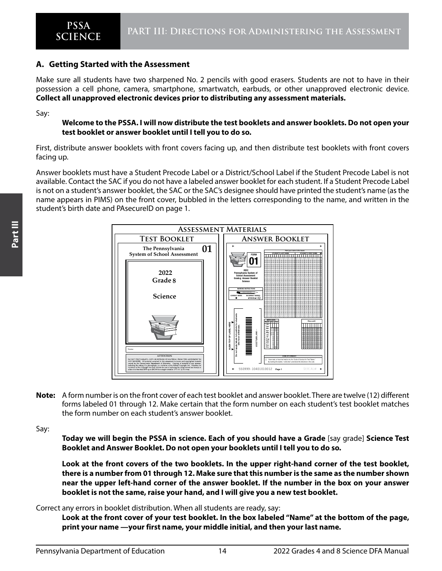#### <span id="page-17-0"></span>**A . Getting Started with the Assessment**

Make sure all students have two sharpened No. 2 pencils with good erasers. Students are not to have in their possession a cell phone, camera, smartphone, smartwatch, earbuds, or other unapproved electronic device. **Collect all unapproved electronic devices prior to distributing any assessment materials .**

Say:

**Welcome to the PSSA . I will now distribute the test booklets and answer booklets . Do not open your test booklet or answer booklet until I tell you to do so .**

First, distribute answer booklets with front covers facing up, and then distribute test booklets with front covers facing up.

Answer booklets must have a Student Precode Label or a District/School Label if the Student Precode Label is not available. Contact the SAC if you do not have a labeled answer booklet for each student. If a Student Precode Label is not on a student's answer booklet, the SAC or the SAC's designee should have printed the student's name (as the name appears in PIMS) on the front cover, bubbled in the letters corresponding to the name, and written in the student's birth date and PAsecureID on page 1.



**Note:** A form number is on the front cover of each test booklet and answer booklet. There are twelve (12) different forms labeled 01 through 12. Make certain that the form number on each student's test booklet matches the form number on each student's answer booklet.

Say:

**Today we will begin the PSSA in science . Each of you should have a Grade** [say grade] **Science Test**  Booklet and Answer Booklet. Do not open your booklets until I tell you to do so.

Look at the front covers of the two booklets. In the upper right-hand corner of the test booklet, **there is a number from 01 through 12 . Make sure that this number is the same as the number shown near the upper left-hand corner of the answer booklet . If the number in the box on your answer booklet is not the same, raise your hand, and I will give you a new test booklet .**

Correct any errors in booklet distribution. When all students are ready, say:

**Look at the front cover of your test booklet . In the box labeled "Name" at the bottom of the page, print your name —your first name, your middle initial, and then your last name .**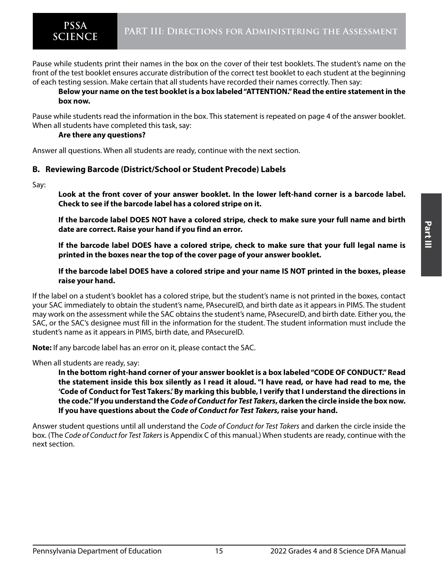<span id="page-18-0"></span>Pause while students print their names in the box on the cover of their test booklets. The student's name on the front of the test booklet ensures accurate distribution of the correct test booklet to each student at the beginning of each testing session. Make certain that all students have recorded their names correctly. Then say:

#### **Below your name on the test booklet is a box labeled "ATTENTION ." Read the entire statement in the**  box now.

Pause while students read the information in the box. This statement is repeated on page 4 of the answer booklet. When all students have completed this task, say:

#### **Are there any questions?**

Answer all questions. When all students are ready, continue with the next section.

#### <span id="page-18-1"></span>**B . Reviewing Barcode (District/School or Student Precode) Labels**

Say:

Look at the front cover of your answer booklet. In the lower left-hand corner is a barcode label. **Check to see if the barcode label has a colored stripe on it .**

**If the barcode label DOES NOT have a colored stripe, check to make sure your full name and birth**  date are correct. Raise your hand if you find an error.

**If the barcode label DOES have a colored stripe, check to make sure that your full legal name is printed in the boxes near the top of the cover page of your answer booklet .**

#### **If the barcode label DOES have a colored stripe and your name IS NOT printed in the boxes, please**  raise your hand.

If the label on a student's booklet has a colored stripe, but the student's name is not printed in the boxes, contact your SAC immediately to obtain the student's name, PAsecureID, and birth date as it appears in PIMS. The student may work on the assessment while the SAC obtains the student's name, PAsecureID, and birth date. Either you, the SAC, or the SAC's designee must fill in the information for the student. The student information must include the student's name as it appears in PIMS, birth date, and PAsecureID.

**Note:** If any barcode label has an error on it, please contact the SAC.

When all students are ready, say:

**In the bottom right-hand corner of your answer booklet is a box labeled "CODE OF CONDUCT ." Read the statement inside this box silently as I read it aloud . "I have read, or have had read to me, the 'Code of Conduct for Test Takers .' By marking this bubble, I verify that I understand the directions in the code ." If you understand the** *Code of Conduct for Test Takers***, darken the circle inside the box now . If you have questions about the** *Code of Conduct for Test Takers***, raise your hand .**

Answer student questions until all understand the *Code of Conduct for Test Takers* and darken the circle inside the box. (The *Code of Conduct for Test Takers* is [Appendix C](#page-44-0) of this manual.) When students are ready, continue with the next section.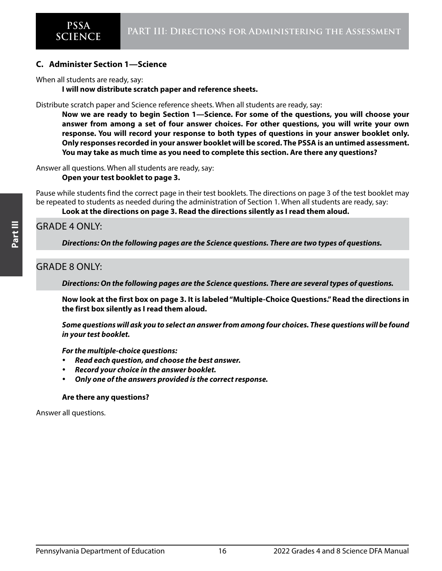#### <span id="page-19-0"></span>**C . Administer Section 1—Science**

When all students are ready, say:

#### **I will now distribute scratch paper and reference sheets .**

Distribute scratch paper and Science reference sheets. When all students are ready, say:

**Now we are ready to begin Section 1—Science . For some of the questions, you will choose your answer from among a set of four answer choices . For other questions, you will write your own**  response. You will record your response to both types of questions in your answer booklet only. **Only responses recorded in your answer booklet will be scored . The PSSA is an untimed assessment . You may take as much time as you need to complete this section . Are there any questions?**

Answer all questions. When all students are ready, say:

**Open your test booklet to page 3 .**

Pause while students find the correct page in their test booklets. The directions on page 3 of the test booklet may be repeated to students as needed during the administration of Section 1. When all students are ready, say: **Look at the directions on page 3 . Read the directions silently as I read them aloud .**

## GRADE 4 ONLY:

*Directions: On the following pages are the Science questions. There are two types of questions.*

### GRADE 8 ONLY:

*Directions: On the following pages are the Science questions. There are several types of questions.*

**Now look at the first box on page 3 . It is labeled "Multiple-Choice Questions ." Read the directions in the first box silently as I read them aloud .**

*Some questions will ask you to select an answer from among four choices. These questions will be found in your test booklet.*

*For the multiple-choice questions:*

- **Read each question, and choose the best answer.**
- y *Record your choice in the answer booklet.*
- y *Only one of the answers provided is the correct response.*

#### **Are there any questions?**

Answer all questions.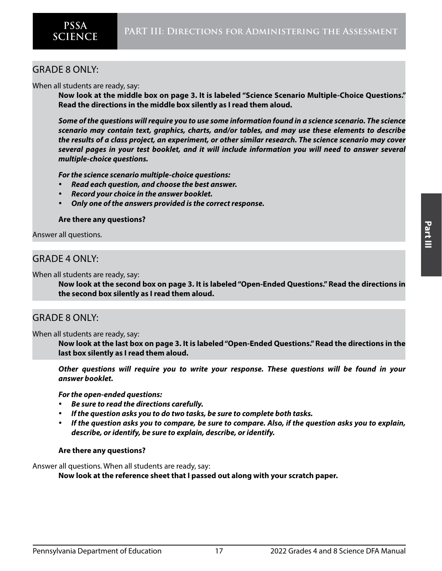## GRADE 8 ONLY:

When all students are ready, say:

**Now look at the middle box on page 3 . It is labeled "Science Scenario Multiple-Choice Questions ." Read the directions in the middle box silently as I read them aloud .**

*Some of the questions will require you to use some information found in a science scenario. The science scenario may contain text, graphics, charts, and/or tables, and may use these elements to describe the results of a class project, an experiment, or other similar research. The science scenario may cover several pages in your test booklet, and it will include information you will need to answer several multiple-choice questions.*

*For the science scenario multiple-choice questions:*

- y *Read each question, and choose the best answer.*
- y *Record your choice in the answer booklet.*
- y *Only one of the answers provided is the correct response.*

#### **Are there any questions?**

Answer all questions.

## GRADE 4 ONLY:

When all students are ready, say:

**Now look at the second box on page 3 . It is labeled "Open-Ended Questions ." Read the directions in**  the second box silently as I read them aloud.

## GRADE 8 ONLY:

When all students are ready, say:

**Now look at the last box on page 3 . It is labeled "Open-Ended Questions ." Read the directions in the**  last box silently as I read them aloud.

*Other questions will require you to write your response. These questions will be found in your answer booklet.*

*For the open-ended questions:*

- y *Be sure to read the directions carefully.*
- If the question asks you to do two tasks, be sure to complete both tasks.
- *If the question asks you to compare, be sure to compare. Also, if the question asks you to explain, describe, or identify, be sure to explain, describe, or identify.*

#### **Are there any questions?**

Answer all questions. When all students are ready, say:

**Now look at the reference sheet that I passed out along with your scratch paper .**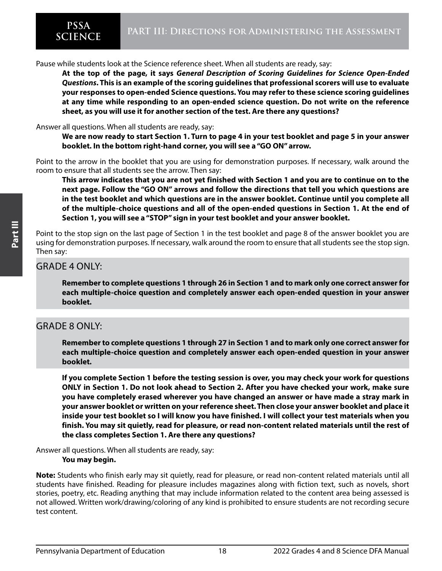Pause while students look at the Science reference sheet. When all students are ready, say:

**At the top of the page, it says** *General Description of Scoring Guidelines for Science Open-Ended Questions* **. This is an example of the scoring guidelines that professional scorers will use to evaluate your responses to open-ended Science questions . You may refer to these science scoring guidelines at any time while responding to an open-ended science question . Do not write on the reference sheet, as you will use it for another section of the test . Are there any questions?**

Answer all questions. When all students are ready, say:

**We are now ready to start Section 1 . Turn to page 4 in your test booklet and page 5 in your answer booklet . In the bottom right-hand corner, you will see a "GO ON" arrow .**

Point to the arrow in the booklet that you are using for demonstration purposes. If necessary, walk around the room to ensure that all students see the arrow. Then say:

**This arrow indicates that you are not yet finished with Section 1 and you are to continue on to the next page . Follow the "GO ON" arrows and follow the directions that tell you which questions are**  in the test booklet and which questions are in the answer booklet. Continue until you complete all **of the multiple-choice questions and all of the open-ended questions in Section 1 . At the end of Section 1, you will see a "STOP" sign in your test booklet and your answer booklet .**

Point to the stop sign on the last page of Section 1 in the test booklet and page 8 of the answer booklet you are using for demonstration purposes. If necessary, walk around the room to ensure that all students see the stop sign. Then say:

## GRADE 4 ONLY:

**Remember to complete questions 1 through 26 in Section 1 and to mark only one correct answer for each multiple-choice question and completely answer each open-ended question in your answer**  booklet.

## GRADE 8 ONLY:

**Remember to complete questions 1 through 27 in Section 1 and to mark only one correct answer for each multiple-choice question and completely answer each open-ended question in your answer**  booklet.

**If you complete Section 1 before the testing session is over, you may check your work for questions ONLY in Section 1 . Do not look ahead to Section 2 . After you have checked your work, make sure you have completely erased wherever you have changed an answer or have made a stray mark in your answer booklet or written on your reference sheet . Then close your answer booklet and place it inside your test booklet so I will know you have finished . I will collect your test materials when you finish . You may sit quietly, read for pleasure, or read non-content related materials until the rest of the class completes Section 1 . Are there any questions?**

Answer all questions. When all students are ready, say:

#### You may begin.

**Note:** Students who finish early may sit quietly, read for pleasure, or read non-content related materials until all students have finished. Reading for pleasure includes magazines along with fiction text, such as novels, short stories, poetry, etc. Reading anything that may include information related to the content area being assessed is not allowed. Written work/drawing/coloring of any kind is prohibited to ensure students are not recording secure test content.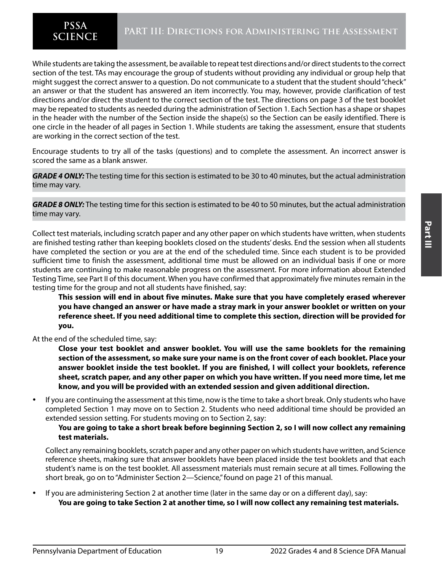# **PSSA**<br>Science

While students are taking the assessment, be available to repeat test directions and/or direct students to the correct section of the test. TAs may encourage the group of students without providing any individual or group help that might suggest the correct answer to a question. Do not communicate to a student that the student should "check" an answer or that the student has answered an item incorrectly. You may, however, provide clarification of test directions and/or direct the student to the correct section of the test. The directions on page 3 of the test booklet may be repeated to students as needed during the administration of Section 1. Each Section has a shape or shapes in the header with the number of the Section inside the shape(s) so the Section can be easily identified. There is one circle in the header of all pages in Section 1. While students are taking the assessment, ensure that students are working in the correct section of the test.

Encourage students to try all of the tasks (questions) and to complete the assessment. An incorrect answer is scored the same as a blank answer.

*GRADE 4 ONLY:* The testing time for this section is estimated to be 30 to 40 minutes, but the actual administration time may vary.

*GRADE 8 ONLY:* The testing time for this section is estimated to be 40 to 50 minutes, but the actual administration time may vary.

Collect test materials, including scratch paper and any other paper on which students have written, when students are finished testing rather than keeping booklets closed on the students' desks. End the session when all students have completed the section or you are at the end of the scheduled time. Since each student is to be provided sufficient time to finish the assessment, additional time must be allowed on an individual basis if one or more students are continuing to make reasonable progress on the assessment. For more information about Extended Testing Time, see Part II of this document. When you have confirmed that approximately five minutes remain in the testing time for the group and not all students have finished, say:

This session will end in about five minutes. Make sure that you have completely erased wherever **you have changed an answer or have made a stray mark in your answer booklet or written on your reference sheet . If you need additional time to complete this section, direction will be provided for you .**

At the end of the scheduled time, say:

Close your test booklet and answer booklet. You will use the same booklets for the remaining section of the assessment, so make sure your name is on the front cover of each booklet. Place your **answer booklet inside the test booklet . If you are finished, I will collect your booklets, reference sheet, scratch paper, and any other paper on which you have written . If you need more time, let me know, and you will be provided with an extended session and given additional direction .**

• If you are continuing the assessment at this time, now is the time to take a short break. Only students who have completed Section 1 may move on to Section 2. Students who need additional time should be provided an extended session setting. For students moving on to Section 2, say:

**You are going to take a short break before beginning Section 2, so I will now collect any remaining test materials .**

Collect any remaining booklets, scratch paper and any other paper on which students have written, and Science reference sheets, making sure that answer booklets have been placed inside the test booklets and that each student's name is on the test booklet. All assessment materials must remain secure at all times. Following the short break, go on to "Administer Section 2—Science," found on [page 21](#page-24-1) of this manual.

If you are administering Section 2 at another time (later in the same day or on a different day), say: **You are going to take Section 2 at another time, so I will now collect any remaining test materials .**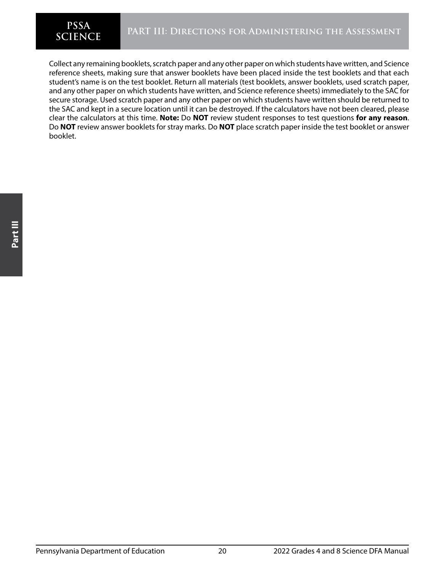

Collect any remaining booklets, scratch paper and any other paper on which students have written, and Science reference sheets, making sure that answer booklets have been placed inside the test booklets and that each student's name is on the test booklet. Return all materials (test booklets, answer booklets, used scratch paper, and any other paper on which students have written, and Science reference sheets) immediately to the SAC for secure storage. Used scratch paper and any other paper on which students have written should be returned to the SAC and kept in a secure location until it can be destroyed. If the calculators have not been cleared, please clear the calculators at this time. **Note:** Do **NOT** review student responses to test questions **for any reason**. Do **NOT** review answer booklets for stray marks. Do **NOT** place scratch paper inside the test booklet or answer booklet.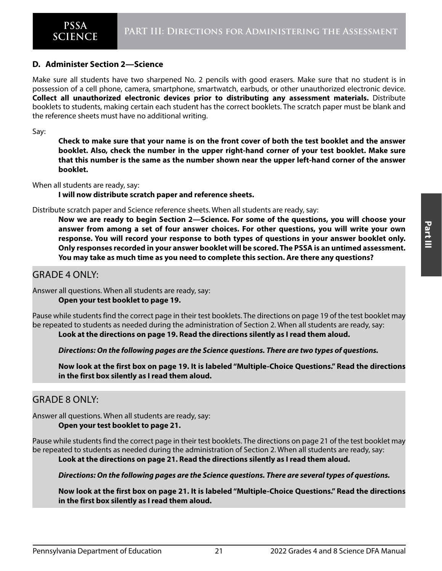#### <span id="page-24-1"></span><span id="page-24-0"></span>**D. Administer Section 2–Science**

Make sure all students have two sharpened No. 2 pencils with good erasers. Make sure that no student is in possession of a cell phone, camera, smartphone, smartwatch, earbuds, or other unauthorized electronic device. **Collect all unauthorized electronic devices prior to distributing any assessment materials.** Distribute booklets to students, making certain each student has the correct booklets. The scratch paper must be blank and the reference sheets must have no additional writing.

Say:

**Check to make sure that your name is on the front cover of both the test booklet and the answer**  booklet. Also, check the number in the upper right-hand corner of your test booklet. Make sure **that this number is the same as the number shown near the upper left-hand corner of the answer booklet .**

When all students are ready, say:

**I will now distribute scratch paper and reference sheets .**

Distribute scratch paper and Science reference sheets. When all students are ready, say:

**Now we are ready to begin Section 2—Science . For some of the questions, you will choose your**  answer from among a set of four answer choices. For other questions, you will write your own response. You will record your response to both types of questions in your answer booklet only. **Only responses recorded in your answer booklet will be scored . The PSSA is an untimed assessment . You may take as much time as you need to complete this section . Are there any questions?**

### GRADE 4 ONLY:

Answer all questions. When all students are ready, say:

**Open your test booklet to page 19.** 

Pause while students find the correct page in their test booklets. The directions on page 19 of the test booklet may be repeated to students as needed during the administration of Section 2. When all students are ready, say: Look at the directions on page 19. Read the directions silently as I read them aloud.

*Directions: On the following pages are the Science questions. There are two types of questions.*

**Now look at the first box on page 19 . It is labeled "Multiple-Choice Questions ." Read the directions**  in the first box silently as I read them aloud.

## GRADE 8 ONLY:

Answer all questions. When all students are ready, say:

**Open your test booklet to page 21 .**

Pause while students find the correct page in their test booklets. The directions on page 21 of the test booklet may be repeated to students as needed during the administration of Section 2. When all students are ready, say: Look at the directions on page 21. Read the directions silently as I read them aloud.

*Directions: On the following pages are the Science questions. There are several types of questions.*

**Now look at the first box on page 21 . It is labeled "Multiple-Choice Questions ." Read the directions in the first box silently as I read them aloud .**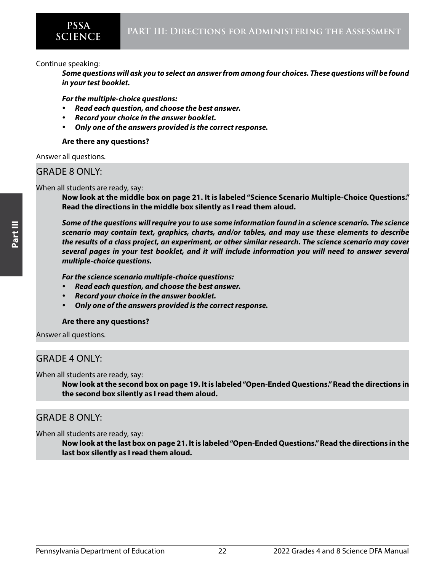#### Continue speaking:

*Some questions will ask you to select an answer from among four choices. These questions will be found in your test booklet.*

*For the multiple-choice questions:*

- **Read each question, and choose the best answer.**
- y *Record your choice in the answer booklet.*
- y *Only one of the answers provided is the correct response.*

#### **Are there any questions?**

Answer all questions.

## GRADE 8 ONLY:

When all students are ready, say:

**Now look at the middle box on page 21 . It is labeled "Science Scenario Multiple-Choice Questions ." Read the directions in the middle box silently as I read them aloud .**

*Some of the questions will require you to use some information found in a science scenario. The science scenario may contain text, graphics, charts, and/or tables, and may use these elements to describe the results of a class project, an experiment, or other similar research. The science scenario may cover several pages in your test booklet, and it will include information you will need to answer several multiple-choice questions.*

*For the science scenario multiple-choice questions:*

- **Read each question, and choose the best answer.**
- y *Record your choice in the answer booklet.*
- **Only one of the answers provided is the correct response.**

**Are there any questions?**

Answer all questions.

## GRADE 4 ONLY:

When all students are ready, say:

**Now look at the second box on page 19 . It is labeled "Open-Ended Questions ." Read the directions in**  the second box silently as I read them aloud.

## GRADE 8 ONLY:

When all students are ready, say:

**Now look at the last box on page 21 . It is labeled "Open-Ended Questions ." Read the directions in the**  last box silently as I read them aloud.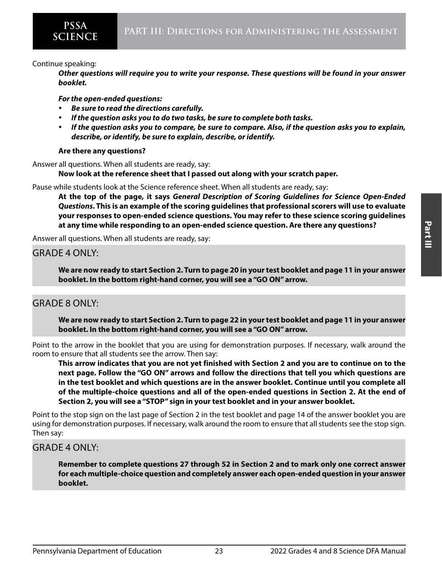#### Continue speaking:

*Other questions will require you to write your response. These questions will be found in your answer booklet.*

#### *For the open-ended questions:*

- y *Be sure to read the directions carefully.*
- If the question asks you to do two tasks, be sure to complete both tasks.
- *If the question asks you to compare, be sure to compare. Also, if the question asks you to explain, describe, or identify, be sure to explain, describe, or identify.*

#### **Are there any questions?**

Answer all questions. When all students are ready, say:

**Now look at the reference sheet that I passed out along with your scratch paper .**

Pause while students look at the Science reference sheet. When all students are ready, say:

**At the top of the page, it says** *General Description of Scoring Guidelines for Science Open-Ended Questions* **. This is an example of the scoring guidelines that professional scorers will use to evaluate your responses to open-ended science questions . You may refer to these science scoring guidelines at any time while responding to an open-ended science question . Are there any questions?**

Answer all questions. When all students are ready, say:

#### GRADE 4 ONLY:

**We are now ready to start Section 2 . Turn to page 20 in your test booklet and page 11 in your answer booklet . In the bottom right-hand corner, you will see a "GO ON" arrow .**

### GRADE 8 ONLY:

**We are now ready to start Section 2 . Turn to page 22 in your test booklet and page 11 in your answer booklet . In the bottom right-hand corner, you will see a "GO ON" arrow .**

Point to the arrow in the booklet that you are using for demonstration purposes. If necessary, walk around the room to ensure that all students see the arrow. Then say:

**This arrow indicates that you are not yet finished with Section 2 and you are to continue on to the next page . Follow the "GO ON" arrows and follow the directions that tell you which questions are**  in the test booklet and which questions are in the answer booklet. Continue until you complete all **of the multiple-choice questions and all of the open-ended questions in Section 2 . At the end of Section 2, you will see a "STOP" sign in your test booklet and in your answer booklet .**

Point to the stop sign on the last page of Section 2 in the test booklet and page 14 of the answer booklet you are using for demonstration purposes. If necessary, walk around the room to ensure that all students see the stop sign. Then say:

#### GRADE 4 ONLY:

**Remember to complete questions 27 through 52 in Section 2 and to mark only one correct answer for each multiple-choice question and completely answer each open-ended question in your answer**  booklet.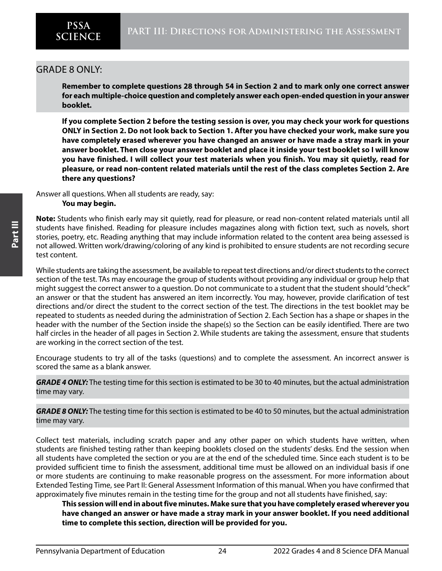## GRADE 8 ONLY:

**Remember to complete questions 28 through 54 in Section 2 and to mark only one correct answer for each multiple-choice question and completely answer each open-ended question in your answer booklet .**

**If you complete Section 2 before the testing session is over, you may check your work for questions ONLY in Section 2 . Do not look back to Section 1 . After you have checked your work, make sure you have completely erased wherever you have changed an answer or have made a stray mark in your answer booklet . Then close your answer booklet and place it inside your test booklet so I will know**  you have finished. I will collect your test materials when you finish. You may sit quietly, read for **pleasure, or read non-content related materials until the rest of the class completes Section 2 . Are there any questions?**

Answer all questions. When all students are ready, say: You may begin.

**Note:** Students who finish early may sit quietly, read for pleasure, or read non-content related materials until all students have finished. Reading for pleasure includes magazines along with fiction text, such as novels, short stories, poetry, etc. Reading anything that may include information related to the content area being assessed is not allowed. Written work/drawing/coloring of any kind is prohibited to ensure students are not recording secure test content.

While students are taking the assessment, be available to repeat test directions and/or direct students to the correct section of the test. TAs may encourage the group of students without providing any individual or group help that might suggest the correct answer to a question. Do not communicate to a student that the student should "check" an answer or that the student has answered an item incorrectly. You may, however, provide clarification of test directions and/or direct the student to the correct section of the test. The directions in the test booklet may be repeated to students as needed during the administration of Section 2. Each Section has a shape or shapes in the header with the number of the Section inside the shape(s) so the Section can be easily identified. There are two half circles in the header of all pages in Section 2. While students are taking the assessment, ensure that students are working in the correct section of the test.

Encourage students to try all of the tasks (questions) and to complete the assessment. An incorrect answer is scored the same as a blank answer.

*GRADE 4 ONLY:* The testing time for this section is estimated to be 30 to 40 minutes, but the actual administration time may vary.

*GRADE 8 ONLY:* The testing time for this section is estimated to be 40 to 50 minutes, but the actual administration time may vary.

Collect test materials, including scratch paper and any other paper on which students have written, when students are finished testing rather than keeping booklets closed on the students' desks. End the session when all students have completed the section or you are at the end of the scheduled time. Since each student is to be provided sufficient time to finish the assessment, additional time must be allowed on an individual basis if one or more students are continuing to make reasonable progress on the assessment. For more information about Extended Testing Time, see Part II: General Assessment Information of this manual. When you have confirmed that approximately five minutes remain in the testing time for the group and not all students have finished, say:

**This session will end in about five minutes . Make sure that you have completely erased wherever you have changed an answer or have made a stray mark in your answer booklet . If you need additional time to complete this section, direction will be provided for you .**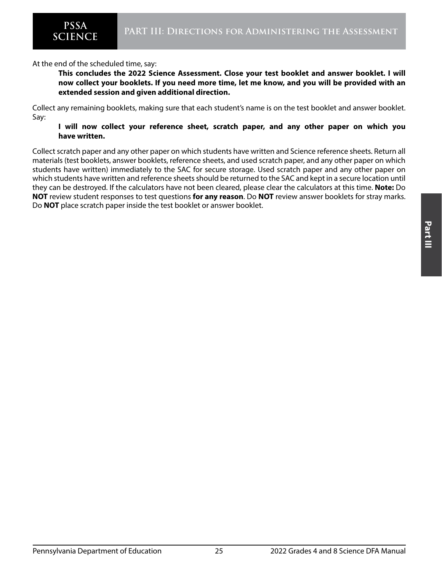At the end of the scheduled time, say:

This concludes the 2022 Science Assessment. Close your test booklet and answer booklet. I will now collect your booklets. If you need more time, let me know, and you will be provided with an extended session and given additional direction.

Collect any remaining booklets, making sure that each student's name is on the test booklet and answer booklet. Say:

**I will now collect your reference sheet, scratch paper, and any other paper on which you have written .**

Collect scratch paper and any other paper on which students have written and Science reference sheets. Return all materials (test booklets, answer booklets, reference sheets, and used scratch paper, and any other paper on which students have written) immediately to the SAC for secure storage. Used scratch paper and any other paper on which students have written and reference sheets should be returned to the SAC and kept in a secure location until they can be destroyed. If the calculators have not been cleared, please clear the calculators at this time. **Note:** Do **NOT** review student responses to test questions **for any reason**. Do **NOT** review answer booklets for stray marks. Do **NOT** place scratch paper inside the test booklet or answer booklet.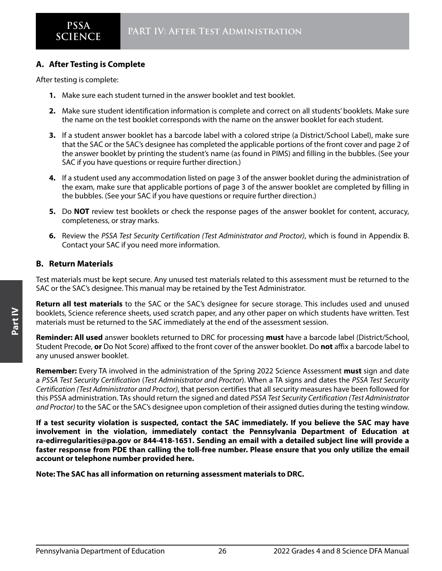#### <span id="page-29-0"></span>**A. After Testing is Complete**

After testing is complete:

- **1.** Make sure each student turned in the answer booklet and test booklet.
- **2 .** Make sure student identification information is complete and correct on all students' booklets. Make sure the name on the test booklet corresponds with the name on the answer booklet for each student.
- **3 .** If a student answer booklet has a barcode label with a colored stripe (a District/School Label), make sure that the SAC or the SAC's designee has completed the applicable portions of the front cover and page 2 of the answer booklet by printing the student's name (as found in PIMS) and filling in the bubbles. (See your SAC if you have questions or require further direction.)
- **4 .** If a student used any accommodation listed on page 3 of the answer booklet during the administration of the exam, make sure that applicable portions of page 3 of the answer booklet are completed by filling in the bubbles. (See your SAC if you have questions or require further direction.)
- **5 .** Do **NOT** review test booklets or check the response pages of the answer booklet for content, accuracy, completeness, or stray marks.
- **6 .** Review the *PSSA Test Security Certification (Test Administrator and Proctor)*, which is found in [Appendix B.](#page-42-0) Contact your SAC if you need more information.

#### **B.** Return Materials

Test materials must be kept secure. Any unused test materials related to this assessment must be returned to the SAC or the SAC's designee. This manual may be retained by the Test Administrator.

**Return all test materials** to the SAC or the SAC's designee for secure storage. This includes used and unused booklets, Science reference sheets, used scratch paper, and any other paper on which students have written. Test materials must be returned to the SAC immediately at the end of the assessment session.

**Reminder: All used** answer booklets returned to DRC for processing **must** have a barcode label (District/School, Student Precode, **or** Do Not Score) affixed to the front cover of the answer booklet. Do **not** affix a barcode label to any unused answer booklet.

**Remember:** Every TA involved in the administration of the Spring 2022 Science Assessment **must** sign and date a *PSSA Test Security Certification* (*Test Administrator and Proctor*). When a TA signs and dates the *PSSA Test Security Certification (Test Administrator and Proctor)*, that person certifies that all security measures have been followed for this PSSA administration. TAs should return the signed and dated *PSSA Test Security Certification (Test Administrator and Proctor)* to the SAC or the SAC's designee upon completion of their assigned duties during the testing window.

**If a test security violation is suspected, contact the SAC immediately . If you believe the SAC may have involvement in the violation, immediately contact the Pennsylvania Department of Education at [ra-edirregularities@pa .gov](mailto:ra-edirregularities%40pa.gov?subject=) or 844-418-1651 . Sending an email with a detailed subject line will provide a**  faster response from PDE than calling the toll-free number. Please ensure that you only utilize the email **account or telephone number provided here .**

**Note: The SAC has all information on returning assessment materials to DRC .**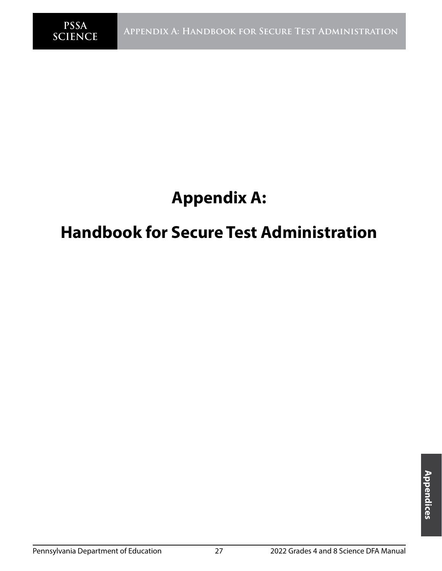## **Appendix A:**

## **Handbook for Secure Test Administration**

<span id="page-30-0"></span>**PSSA**<br>**SCIENCE**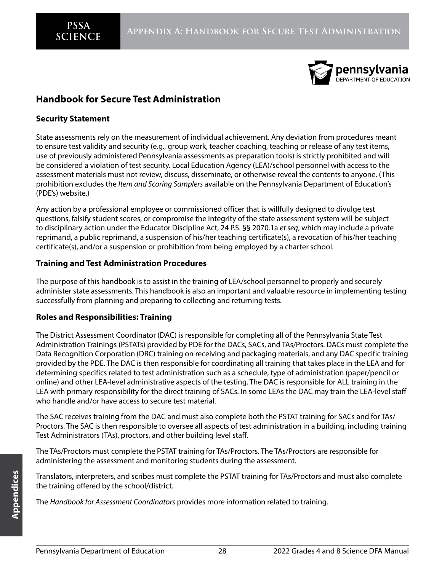

## **Handbook for Secure Test Administration**

#### **Security Statement**

State assessments rely on the measurement of individual achievement. Any deviation from procedures meant to ensure test validity and security (e.g., group work, teacher coaching, teaching or release of any test items, use of previously administered Pennsylvania assessments as preparation tools) is strictly prohibited and will be considered a violation of test security. Local Education Agency (LEA)/school personnel with access to the assessment materials must not review, discuss, disseminate, or otherwise reveal the contents to anyone. (This prohibition excludes the *Item and Scoring Samplers* available on the Pennsylvania Department of Education's (PDE's) website.)

Any action by a professional employee or commissioned officer that is willfully designed to divulge test questions, falsify student scores, or compromise the integrity of the state assessment system will be subject to disciplinary action under the Educator Discipline Act, 24 P.S. §§ 2070.1a *et seq*, which may include a private reprimand, a public reprimand, a suspension of his/her teaching certificate(s), a revocation of his/her teaching certificate(s), and/or a suspension or prohibition from being employed by a charter school.

#### **Training and Test Administration Procedures**

The purpose of this handbook is to assist in the training of LEA/school personnel to properly and securely administer state assessments. This handbook is also an important and valuable resource in implementing testing successfully from planning and preparing to collecting and returning tests.

#### **Roles and Responsibilities: Training**

The District Assessment Coordinator (DAC) is responsible for completing all of the Pennsylvania State Test Administration Trainings (PSTATs) provided by PDE for the DACs, SACs, and TAs/Proctors. DACs must complete the Data Recognition Corporation (DRC) training on receiving and packaging materials, and any DAC specific training provided by the PDE. The DAC is then responsible for coordinating all training that takes place in the LEA and for determining specifics related to test administration such as a schedule, type of administration (paper/pencil or online) and other LEA-level administrative aspects of the testing. The DAC is responsible for ALL training in the LEA with primary responsibility for the direct training of SACs. In some LEAs the DAC may train the LEA-level staff who handle and/or have access to secure test material.

The SAC receives training from the DAC and must also complete both the PSTAT training for SACs and for TAs/ Proctors. The SAC is then responsible to oversee all aspects of test administration in a building, including training Test Administrators (TAs), proctors, and other building level staff.

The TAs/Proctors must complete the PSTAT training for TAs/Proctors. The TAs/Proctors are responsible for administering the assessment and monitoring students during the assessment.

Translators, interpreters, and scribes must complete the PSTAT training for TAs/Proctors and must also complete the training offered by the school/district.

The *Handbook for Assessment Coordinators* provides more information related to training.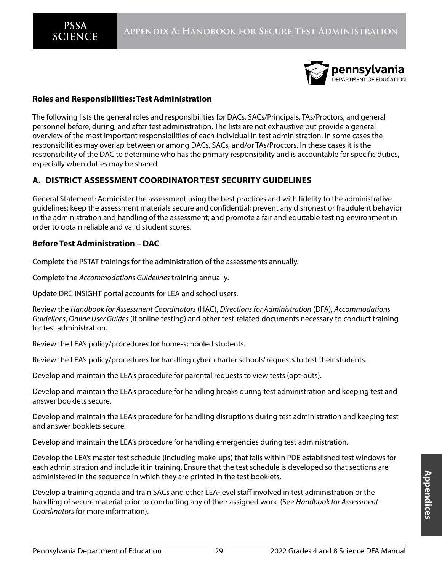

#### **Roles and Responsibilities: Test Administration**

The following lists the general roles and responsibilities for DACs, SACs/Principals, TAs/Proctors, and general personnel before, during, and after test administration. The lists are not exhaustive but provide a general overview of the most important responsibilities of each individual in test administration. In some cases the responsibilities may overlap between or among DACs, SACs, and/or TAs/Proctors. In these cases it is the responsibility of the DAC to determine who has the primary responsibility and is accountable for specific duties, especially when duties may be shared.

## **A . DISTRICT ASSESSMENT COORDINATOR TEST SECURITY GUIDELINES**

General Statement: Administer the assessment using the best practices and with fidelity to the administrative guidelines; keep the assessment materials secure and confidential; prevent any dishonest or fraudulent behavior in the administration and handling of the assessment; and promote a fair and equitable testing environment in order to obtain reliable and valid student scores.

#### **Before Test Administration – DAC**

Complete the PSTAT trainings for the administration of the assessments annually.

Complete the *Accommodations Guidelines* training annually.

Update DRC INSIGHT portal accounts for LEA and school users.

Review the *Handbook for Assessment Coordinators* (HAC), *Directions for Administration* (DFA), *Accommodations Guidelines*, *Online User Guides* (if online testing) and other test-related documents necessary to conduct training for test administration.

Review the LEA's policy/procedures for home-schooled students.

Review the LEA's policy/procedures for handling cyber-charter schools' requests to test their students.

Develop and maintain the LEA's procedure for parental requests to view tests (opt-outs).

Develop and maintain the LEA's procedure for handling breaks during test administration and keeping test and answer booklets secure.

Develop and maintain the LEA's procedure for handling disruptions during test administration and keeping test and answer booklets secure.

Develop and maintain the LEA's procedure for handling emergencies during test administration.

Develop the LEA's master test schedule (including make-ups) that falls within PDE established test windows for each administration and include it in training. Ensure that the test schedule is developed so that sections are administered in the sequence in which they are printed in the test booklets.

Develop a training agenda and train SACs and other LEA-level staff involved in test administration or the handling of secure material prior to conducting any of their assigned work. (See *Handbook for Assessment Coordinators* for more information).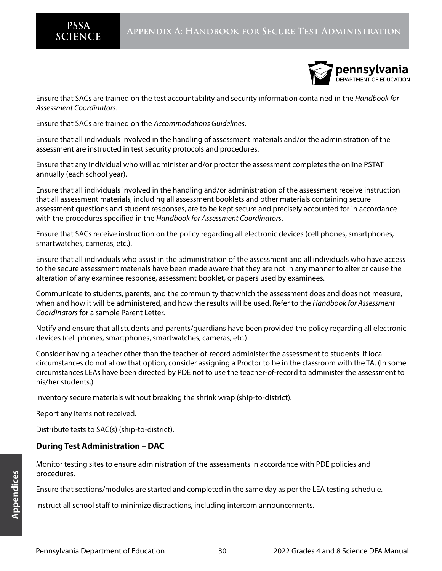

Ensure that SACs are trained on the test accountability and security information contained in the *Handbook for Assessment Coordinators*.

Ensure that SACs are trained on the *Accommodations Guidelines*.

Ensure that all individuals involved in the handling of assessment materials and/or the administration of the assessment are instructed in test security protocols and procedures.

Ensure that any individual who will administer and/or proctor the assessment completes the online PSTAT annually (each school year).

Ensure that all individuals involved in the handling and/or administration of the assessment receive instruction that all assessment materials, including all assessment booklets and other materials containing secure assessment questions and student responses, are to be kept secure and precisely accounted for in accordance with the procedures specified in the *Handbook for Assessment Coordinators*.

Ensure that SACs receive instruction on the policy regarding all electronic devices (cell phones, smartphones, smartwatches, cameras, etc.).

Ensure that all individuals who assist in the administration of the assessment and all individuals who have access to the secure assessment materials have been made aware that they are not in any manner to alter or cause the alteration of any examinee response, assessment booklet, or papers used by examinees.

Communicate to students, parents, and the community that which the assessment does and does not measure, when and how it will be administered, and how the results will be used. Refer to the *Handbook for Assessment Coordinators* for a sample Parent Letter.

Notify and ensure that all students and parents/guardians have been provided the policy regarding all electronic devices (cell phones, smartphones, smartwatches, cameras, etc.).

Consider having a teacher other than the teacher-of-record administer the assessment to students. If local circumstances do not allow that option, consider assigning a Proctor to be in the classroom with the TA. (In some circumstances LEAs have been directed by PDE not to use the teacher-of-record to administer the assessment to his/her students.)

Inventory secure materials without breaking the shrink wrap (ship-to-district).

Report any items not received.

Distribute tests to SAC(s) (ship-to-district).

#### **During Test Administration – DAC**

Monitor testing sites to ensure administration of the assessments in accordance with PDE policies and procedures.

Ensure that sections/modules are started and completed in the same day as per the LEA testing schedule.

Instruct all school staff to minimize distractions, including intercom announcements.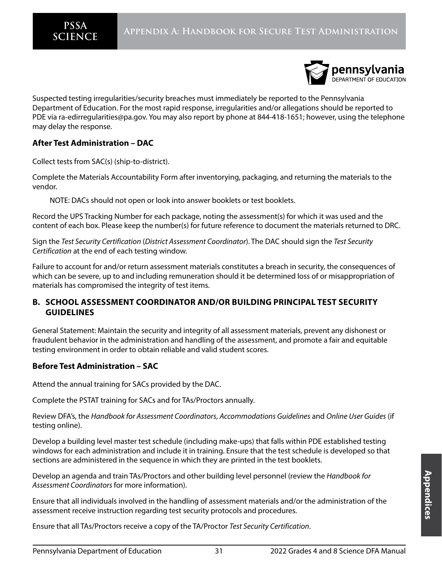



Suspected testing irregularities/security breaches must immediately be reported to the Pennsylvania Department of Education. For the most rapid response, irregularities and/or allegations should be reported to PDE via [ra-edirregularities@pa.gov](mailto:ra-edirregularities%40pa.gov?subject=). You may also report by phone at 844-418-1651; however, using the telephone may delay the response.

#### **After Test Administration – DAC**

Collect tests from SAC(s) (ship-to-district).

Complete the Materials Accountability Form after inventorying, packaging, and returning the materials to the vendor.

NOTE: DACs should not open or look into answer booklets or test booklets.

Record the UPS Tracking Number for each package, noting the assessment(s) for which it was used and the content of each box. Please keep the number(s) for future reference to document the materials returned to DRC.

Sign the *Test Security Certification* (*District Assessment Coordinator*). The DAC should sign the *Test Security Certification* at the end of each testing window.

Failure to account for and/or return assessment materials constitutes a breach in security, the consequences of which can be severe, up to and including remuneration should it be determined loss of or misappropriation of materials has compromised the integrity of test items.

#### **B . SCHOOL ASSESSMENT COORDINATOR AND/OR BUILDING PRINCIPAL TEST SECURITY GUIDELINES**

General Statement: Maintain the security and integrity of all assessment materials, prevent any dishonest or fraudulent behavior in the administration and handling of the assessment, and promote a fair and equitable testing environment in order to obtain reliable and valid student scores.

#### **Before Test Administration – SAC**

Attend the annual training for SACs provided by the DAC.

Complete the PSTAT training for SACs and for TAs/Proctors annually.

Review DFA's, the *Handbook for Assessment Coordinators*, *Accommodations Guidelines* and *Online User Guides* (if testing online).

Develop a building level master test schedule (including make-ups) that falls within PDE established testing windows for each administration and include it in training. Ensure that the test schedule is developed so that sections are administered in the sequence in which they are printed in the test booklets.

Develop an agenda and train TAs/Proctors and other building level personnel (review the *Handbook for Assessment Coordinators* for more information).

Ensure that all individuals involved in the handling of assessment materials and/or the administration of the assessment receive instruction regarding test security protocols and procedures.

Ensure that all TAs/Proctors receive a copy of the TA/Proctor *Test Security Certification*.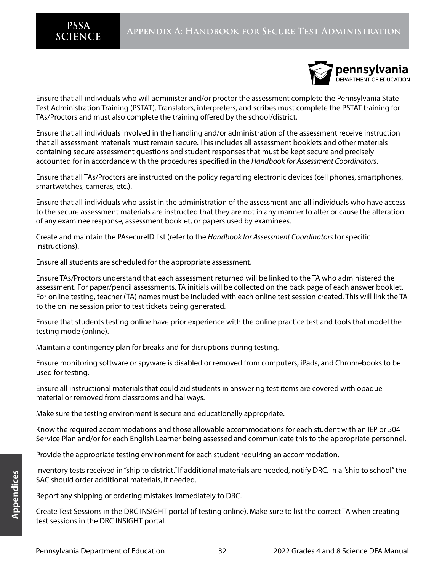



Ensure that all individuals who will administer and/or proctor the assessment complete the Pennsylvania State Test Administration Training (PSTAT). Translators, interpreters, and scribes must complete the PSTAT training for TAs/Proctors and must also complete the training offered by the school/district.

Ensure that all individuals involved in the handling and/or administration of the assessment receive instruction that all assessment materials must remain secure. This includes all assessment booklets and other materials containing secure assessment questions and student responses that must be kept secure and precisely accounted for in accordance with the procedures specified in the *Handbook for Assessment Coordinators*.

Ensure that all TAs/Proctors are instructed on the policy regarding electronic devices (cell phones, smartphones, smartwatches, cameras, etc.).

Ensure that all individuals who assist in the administration of the assessment and all individuals who have access to the secure assessment materials are instructed that they are not in any manner to alter or cause the alteration of any examinee response, assessment booklet, or papers used by examinees.

Create and maintain the PAsecureID list (refer to the *Handbook for Assessment Coordinators* for specific instructions).

Ensure all students are scheduled for the appropriate assessment.

Ensure TAs/Proctors understand that each assessment returned will be linked to the TA who administered the assessment. For paper/pencil assessments, TA initials will be collected on the back page of each answer booklet. For online testing, teacher (TA) names must be included with each online test session created. This will link the TA to the online session prior to test tickets being generated.

Ensure that students testing online have prior experience with the online practice test and tools that model the testing mode (online).

Maintain a contingency plan for breaks and for disruptions during testing.

Ensure monitoring software or spyware is disabled or removed from computers, iPads, and Chromebooks to be used for testing.

Ensure all instructional materials that could aid students in answering test items are covered with opaque material or removed from classrooms and hallways.

Make sure the testing environment is secure and educationally appropriate.

Know the required accommodations and those allowable accommodations for each student with an IEP or 504 Service Plan and/or for each English Learner being assessed and communicate this to the appropriate personnel.

Provide the appropriate testing environment for each student requiring an accommodation.

Inventory tests received in "ship to district." If additional materials are needed, notify DRC. In a "ship to school" the SAC should order additional materials, if needed.

Report any shipping or ordering mistakes immediately to DRC.

Create Test Sessions in the DRC INSIGHT portal (if testing online). Make sure to list the correct TA when creating test sessions in the DRC INSIGHT portal.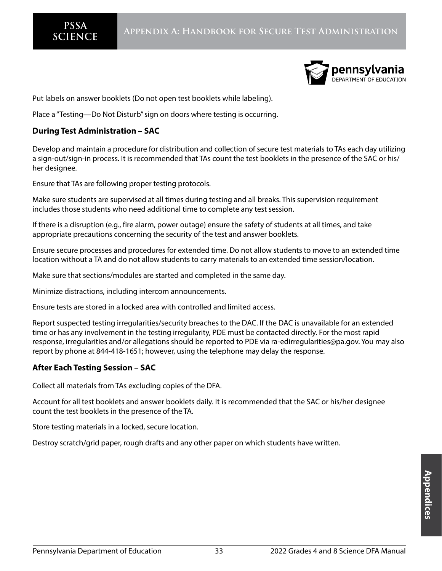

Put labels on answer booklets (Do not open test booklets while labeling).

Place a "Testing—Do Not Disturb" sign on doors where testing is occurring.

#### **During Test Administration – SAC**

Develop and maintain a procedure for distribution and collection of secure test materials to TAs each day utilizing a sign-out/sign-in process. It is recommended that TAs count the test booklets in the presence of the SAC or his/ her designee.

Ensure that TAs are following proper testing protocols.

Make sure students are supervised at all times during testing and all breaks. This supervision requirement includes those students who need additional time to complete any test session.

If there is a disruption (e.g., fire alarm, power outage) ensure the safety of students at all times, and take appropriate precautions concerning the security of the test and answer booklets.

Ensure secure processes and procedures for extended time. Do not allow students to move to an extended time location without a TA and do not allow students to carry materials to an extended time session/location.

Make sure that sections/modules are started and completed in the same day.

Minimize distractions, including intercom announcements.

Ensure tests are stored in a locked area with controlled and limited access.

Report suspected testing irregularities/security breaches to the DAC. If the DAC is unavailable for an extended time or has any involvement in the testing irregularity, PDE must be contacted directly. For the most rapid response, irregularities and/or allegations should be reported to PDE via [ra-edirregularities@pa.gov](mailto:ra-edirregularities%40pa.gov?subject=). You may also report by phone at 844-418-1651; however, using the telephone may delay the response.

### **After Each Testing Session – SAC**

Collect all materials from TAs excluding copies of the DFA.

Account for all test booklets and answer booklets daily. It is recommended that the SAC or his/her designee count the test booklets in the presence of the TA.

Store testing materials in a locked, secure location.

Destroy scratch/grid paper, rough drafts and any other paper on which students have written.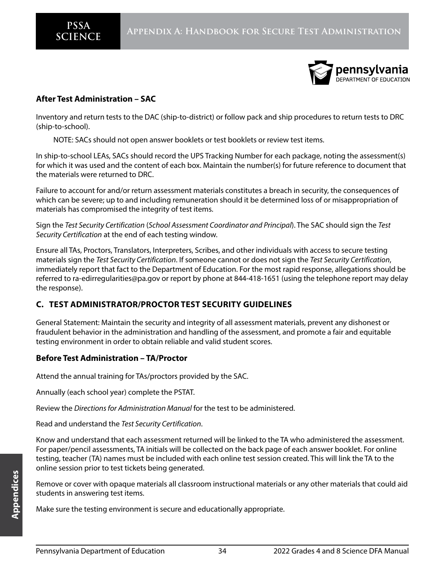

#### **After Test Administration – SAC**

Inventory and return tests to the DAC (ship-to-district) or follow pack and ship procedures to return tests to DRC (ship-to-school).

NOTE: SACs should not open answer booklets or test booklets or review test items.

In ship-to-school LEAs, SACs should record the UPS Tracking Number for each package, noting the assessment(s) for which it was used and the content of each box. Maintain the number(s) for future reference to document that the materials were returned to DRC.

Failure to account for and/or return assessment materials constitutes a breach in security, the consequences of which can be severe; up to and including remuneration should it be determined loss of or misappropriation of materials has compromised the integrity of test items.

Sign the *Test Security Certification* (*School Assessment Coordinator and Principal*). The SAC should sign the *Test Security Certification* at the end of each testing window.

Ensure all TAs, Proctors, Translators, Interpreters, Scribes, and other individuals with access to secure testing materials sign the *Test Security Certification*. If someone cannot or does not sign the *Test Security Certification*, immediately report that fact to the Department of Education. For the most rapid response, allegations should be referred to [ra-edirregularities@pa.gov](mailto:ra-edirregularities%40pa.gov?subject=) or report by phone at 844-418-1651 (using the telephone report may delay the response).

### **C . TEST ADMINISTRATOR/PROCTOR TEST SECURITY GUIDELINES**

General Statement: Maintain the security and integrity of all assessment materials, prevent any dishonest or fraudulent behavior in the administration and handling of the assessment, and promote a fair and equitable testing environment in order to obtain reliable and valid student scores.

#### **Before Test Administration – TA/Proctor**

Attend the annual training for TAs/proctors provided by the SAC.

Annually (each school year) complete the PSTAT.

Review the *Directions for Administration Manual* for the test to be administered.

Read and understand the *Test Security Certification*.

Know and understand that each assessment returned will be linked to the TA who administered the assessment. For paper/pencil assessments, TA initials will be collected on the back page of each answer booklet. For online testing, teacher (TA) names must be included with each online test session created. This will link the TA to the online session prior to test tickets being generated.

Remove or cover with opaque materials all classroom instructional materials or any other materials that could aid students in answering test items.

Make sure the testing environment is secure and educationally appropriate.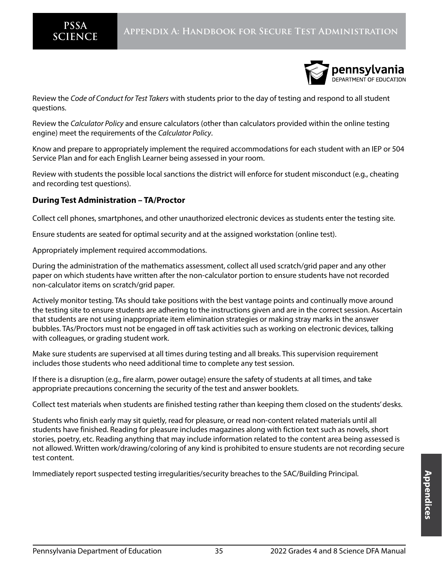

Review the *Code of Conduct for Test Takers* with students prior to the day of testing and respond to all student questions.

Review the *Calculator Policy* and ensure calculators (other than calculators provided within the online testing engine) meet the requirements of the *Calculator Policy*.

Know and prepare to appropriately implement the required accommodations for each student with an IEP or 504 Service Plan and for each English Learner being assessed in your room.

Review with students the possible local sanctions the district will enforce for student misconduct (e.g., cheating and recording test questions).

#### **During Test Administration – TA/Proctor**

Collect cell phones, smartphones, and other unauthorized electronic devices as students enter the testing site.

Ensure students are seated for optimal security and at the assigned workstation (online test).

Appropriately implement required accommodations.

During the administration of the mathematics assessment, collect all used scratch/grid paper and any other paper on which students have written after the non-calculator portion to ensure students have not recorded non-calculator items on scratch/grid paper.

Actively monitor testing. TAs should take positions with the best vantage points and continually move around the testing site to ensure students are adhering to the instructions given and are in the correct session. Ascertain that students are not using inappropriate item elimination strategies or making stray marks in the answer bubbles. TAs/Proctors must not be engaged in off task activities such as working on electronic devices, talking with colleagues, or grading student work.

Make sure students are supervised at all times during testing and all breaks. This supervision requirement includes those students who need additional time to complete any test session.

If there is a disruption (e.g., fire alarm, power outage) ensure the safety of students at all times, and take appropriate precautions concerning the security of the test and answer booklets.

Collect test materials when students are finished testing rather than keeping them closed on the students' desks.

Students who finish early may sit quietly, read for pleasure, or read non-content related materials until all students have finished. Reading for pleasure includes magazines along with fiction text such as novels, short stories, poetry, etc. Reading anything that may include information related to the content area being assessed is not allowed. Written work/drawing/coloring of any kind is prohibited to ensure students are not recording secure test content.

Immediately report suspected testing irregularities/security breaches to the SAC/Building Principal.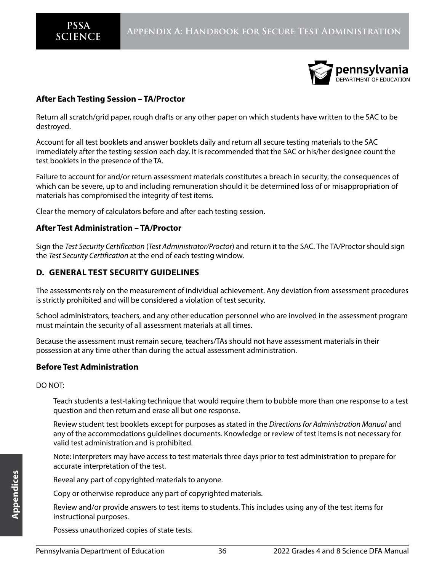

#### **After Each Testing Session – TA/Proctor**

Return all scratch/grid paper, rough drafts or any other paper on which students have written to the SAC to be destroyed.

Account for all test booklets and answer booklets daily and return all secure testing materials to the SAC immediately after the testing session each day. It is recommended that the SAC or his/her designee count the test booklets in the presence of the TA.

Failure to account for and/or return assessment materials constitutes a breach in security, the consequences of which can be severe, up to and including remuneration should it be determined loss of or misappropriation of materials has compromised the integrity of test items.

Clear the memory of calculators before and after each testing session.

#### **After Test Administration – TA/Proctor**

Sign the *Test Security Certification* (*Test Administrator/Proctor*) and return it to the SAC. The TA/Proctor should sign the *Test Security Certification* at the end of each testing window.

#### **D. GENERAL TEST SECURITY GUIDELINES**

The assessments rely on the measurement of individual achievement. Any deviation from assessment procedures is strictly prohibited and will be considered a violation of test security.

School administrators, teachers, and any other education personnel who are involved in the assessment program must maintain the security of all assessment materials at all times.

Because the assessment must remain secure, teachers/TAs should not have assessment materials in their possession at any time other than during the actual assessment administration.

#### **Before Test Administration**

DO NOT:

Teach students a test-taking technique that would require them to bubble more than one response to a test question and then return and erase all but one response.

Review student test booklets except for purposes as stated in the *Directions for Administration Manual* and any of the accommodations guidelines documents. Knowledge or review of test items is not necessary for valid test administration and is prohibited.

Note: Interpreters may have access to test materials three days prior to test administration to prepare for accurate interpretation of the test.

Reveal any part of copyrighted materials to anyone.

Copy or otherwise reproduce any part of copyrighted materials.

Review and/or provide answers to test items to students. This includes using any of the test items for instructional purposes.

Possess unauthorized copies of state tests.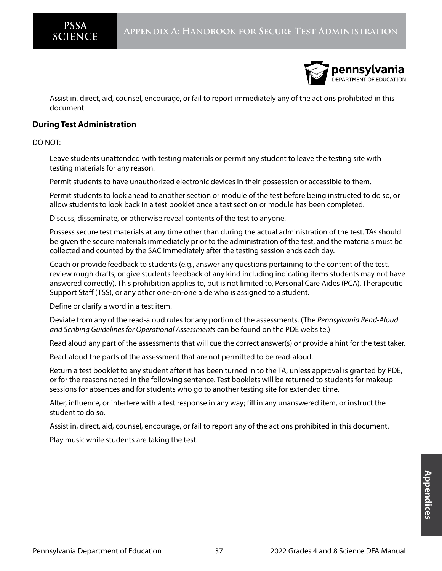

Assist in, direct, aid, counsel, encourage, or fail to report immediately any of the actions prohibited in this document.

#### **During Test Administration**

DO NOT:

Leave students unattended with testing materials or permit any student to leave the testing site with testing materials for any reason.

Permit students to have unauthorized electronic devices in their possession or accessible to them.

Permit students to look ahead to another section or module of the test before being instructed to do so, or allow students to look back in a test booklet once a test section or module has been completed.

Discuss, disseminate, or otherwise reveal contents of the test to anyone.

Possess secure test materials at any time other than during the actual administration of the test. TAs should be given the secure materials immediately prior to the administration of the test, and the materials must be collected and counted by the SAC immediately after the testing session ends each day.

Coach or provide feedback to students (e.g., answer any questions pertaining to the content of the test, review rough drafts, or give students feedback of any kind including indicating items students may not have answered correctly). This prohibition applies to, but is not limited to, Personal Care Aides (PCA), Therapeutic Support Staff (TSS), or any other one-on-one aide who is assigned to a student.

Define or clarify a word in a test item.

Deviate from any of the read-aloud rules for any portion of the assessments. (The *Pennsylvania Read-Aloud and Scribing Guidelines for Operational Assessments* can be found on the PDE website.)

Read aloud any part of the assessments that will cue the correct answer(s) or provide a hint for the test taker.

Read-aloud the parts of the assessment that are not permitted to be read-aloud.

Return a test booklet to any student after it has been turned in to the TA, unless approval is granted by PDE, or for the reasons noted in the following sentence. Test booklets will be returned to students for makeup sessions for absences and for students who go to another testing site for extended time.

Alter, influence, or interfere with a test response in any way; fill in any unanswered item, or instruct the student to do so.

Assist in, direct, aid, counsel, encourage, or fail to report any of the actions prohibited in this document.

Play music while students are taking the test.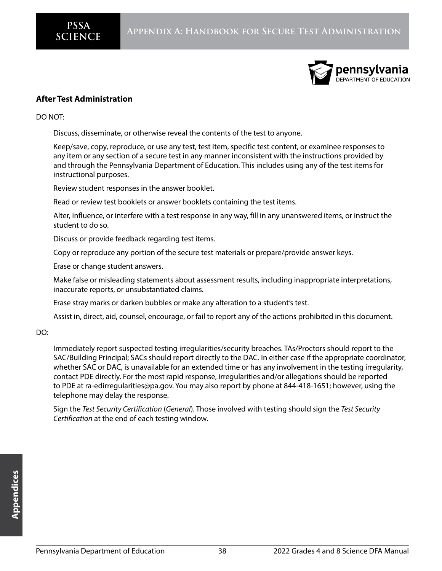

#### **After Test Administration**

DO NOT:

Discuss, disseminate, or otherwise reveal the contents of the test to anyone.

Keep/save, copy, reproduce, or use any test, test item, specific test content, or examinee responses to any item or any section of a secure test in any manner inconsistent with the instructions provided by and through the Pennsylvania Department of Education. This includes using any of the test items for instructional purposes.

Review student responses in the answer booklet.

Read or review test booklets or answer booklets containing the test items.

Alter, influence, or interfere with a test response in any way, fill in any unanswered items, or instruct the student to do so.

Discuss or provide feedback regarding test items.

Copy or reproduce any portion of the secure test materials or prepare/provide answer keys.

Erase or change student answers.

Make false or misleading statements about assessment results, including inappropriate interpretations, inaccurate reports, or unsubstantiated claims.

Erase stray marks or darken bubbles or make any alteration to a student's test.

Assist in, direct, aid, counsel, encourage, or fail to report any of the actions prohibited in this document.

DO:

Immediately report suspected testing irregularities/security breaches. TAs/Proctors should report to the SAC/Building Principal; SACs should report directly to the DAC. In either case if the appropriate coordinator, whether SAC or DAC, is unavailable for an extended time or has any involvement in the testing irregularity, contact PDE directly. For the most rapid response, irregularities and/or allegations should be reported to PDE at [ra-edirregularities@pa.gov.](mailto:ra-edirregularities%40pa.gov?subject=) You may also report by phone at 844-418-1651; however, using the telephone may delay the response.

Sign the *Test Security Certification* (*General*). Those involved with testing should sign the *Test Security Certification* at the end of each testing window.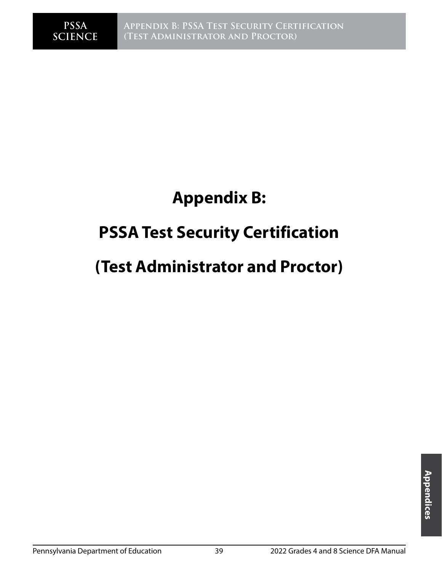# **Appendix B:**

# <span id="page-42-0"></span>**PSSA Test Security Certification**

## **(Test Administrator and Proctor)**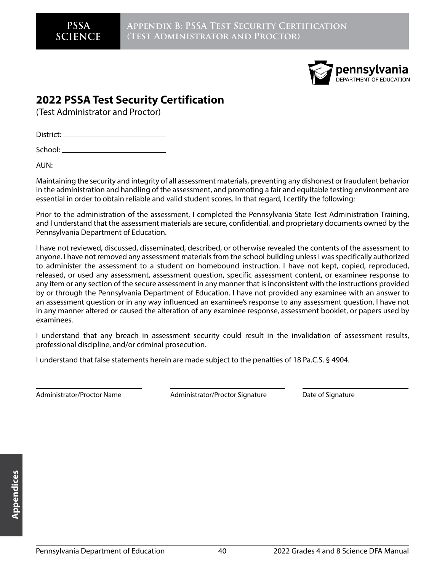



## **2022 PSSA Test Security Certification**

(Test Administrator and Proctor)

District:

School:

AUN:

Maintaining the security and integrity of all assessment materials, preventing any dishonest or fraudulent behavior in the administration and handling of the assessment, and promoting a fair and equitable testing environment are essential in order to obtain reliable and valid student scores. In that regard, I certify the following:

Prior to the administration of the assessment, I completed the Pennsylvania State Test Administration Training, and I understand that the assessment materials are secure, confidential, and proprietary documents owned by the Pennsylvania Department of Education.

I have not reviewed, discussed, disseminated, described, or otherwise revealed the contents of the assessment to anyone. I have not removed any assessment materials from the school building unless I was specifically authorized to administer the assessment to a student on homebound instruction. I have not kept, copied, reproduced, released, or used any assessment, assessment question, specific assessment content, or examinee response to any item or any section of the secure assessment in any manner that is inconsistent with the instructions provided by or through the Pennsylvania Department of Education. I have not provided any examinee with an answer to an assessment question or in any way influenced an examinee's response to any assessment question. I have not in any manner altered or caused the alteration of any examinee response, assessment booklet, or papers used by examinees.

I understand that any breach in assessment security could result in the invalidation of assessment results, professional discipline, and/or criminal prosecution.

I understand that false statements herein are made subject to the penalties of 18 Pa.C.S. § 4904.

Administrator/Proctor Name **Administrator/Proctor Signature** Date of Signature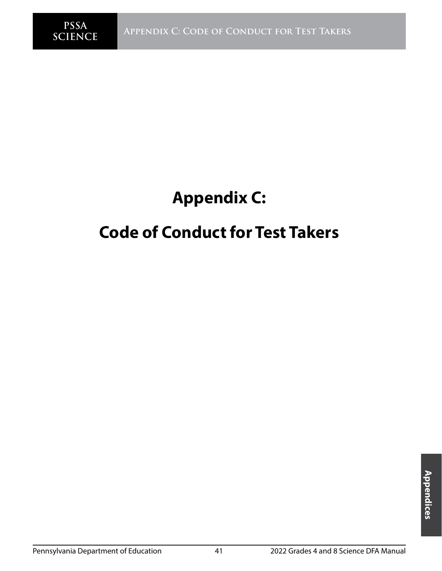

## **Code of Conduct for Test Takers**

<span id="page-44-0"></span>**PSSA**<br>**SCIENCE**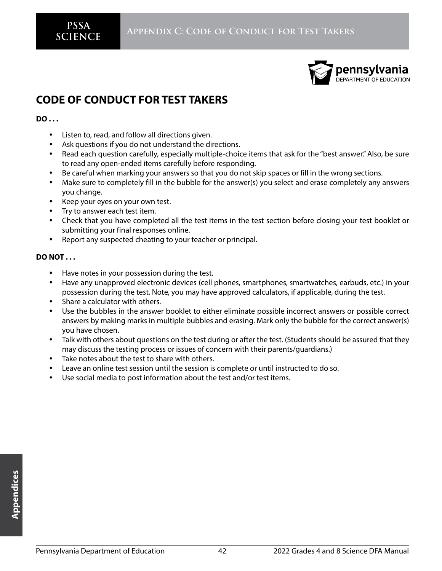

## **CODE OF CONDUCT FOR TEST TAKERS**

**DO . . .** 

- Listen to, read, and follow all directions given.
- Ask questions if you do not understand the directions.
- Read each question carefully, especially multiple-choice items that ask for the "best answer." Also, be sure to read any open-ended items carefully before responding.
- Be careful when marking your answers so that you do not skip spaces or fill in the wrong sections.
- Make sure to completely fill in the bubble for the answer(s) you select and erase completely any answers you change.
- Keep your eyes on your own test.
- Try to answer each test item.
- Check that you have completed all the test items in the test section before closing your test booklet or submitting your final responses online.
- Report any suspected cheating to your teacher or principal.

#### **DO NOT . . .**

- Have notes in your possession during the test.
- Have any unapproved electronic devices (cell phones, smartphones, smartwatches, earbuds, etc.) in your possession during the test. Note, you may have approved calculators, if applicable, during the test.
- Share a calculator with others.
- Use the bubbles in the answer booklet to either eliminate possible incorrect answers or possible correct answers by making marks in multiple bubbles and erasing. Mark only the bubble for the correct answer(s) you have chosen.
- Talk with others about questions on the test during or after the test. (Students should be assured that they may discuss the testing process or issues of concern with their parents/guardians.)
- Take notes about the test to share with others.
- Leave an online test session until the session is complete or until instructed to do so.
- Use social media to post information about the test and/or test items.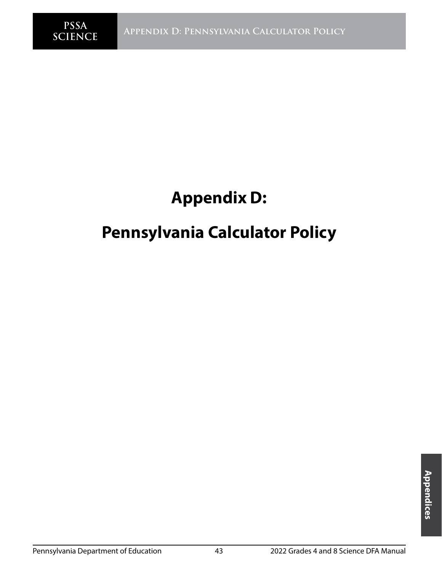## **Appendix D:**

# **Pennsylvania Calculator Policy**

<span id="page-46-0"></span>**PSSA**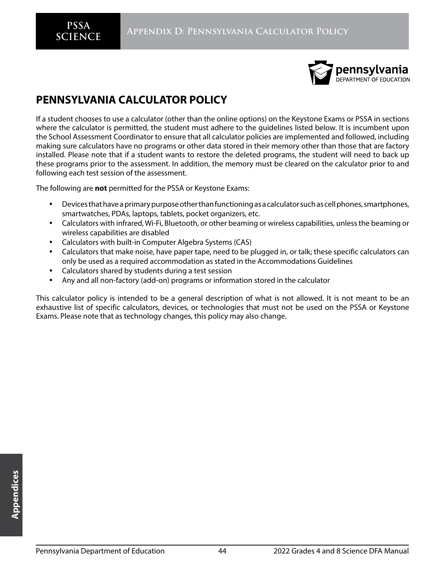

## **PENNSYLVANIA CALCULATOR POLICY**

If a student chooses to use a calculator (other than the online options) on the Keystone Exams or PSSA in sections where the calculator is permitted, the student must adhere to the guidelines listed below. It is incumbent upon the School Assessment Coordinator to ensure that all calculator policies are implemented and followed, including making sure calculators have no programs or other data stored in their memory other than those that are factory installed. Please note that if a student wants to restore the deleted programs, the student will need to back up these programs prior to the assessment. In addition, the memory must be cleared on the calculator prior to and following each test session of the assessment.

The following are **not** permitted for the PSSA or Keystone Exams:

- Devices that have a primary purpose other than functioning as a calculator such as cell phones, smartphones, smartwatches, PDAs, laptops, tablets, pocket organizers, etc.
- Calculators with infrared, Wi-Fi, Bluetooth, or other beaming or wireless capabilities, unless the beaming or wireless capabilities are disabled
- Calculators with built-in Computer Algebra Systems (CAS)
- Calculators that make noise, have paper tape, need to be plugged in, or talk; these specific calculators can only be used as a required accommodation as stated in the Accommodations Guidelines
- Calculators shared by students during a test session
- Any and all non-factory (add-on) programs or information stored in the calculator

This calculator policy is intended to be a general description of what is not allowed. It is not meant to be an exhaustive list of specific calculators, devices, or technologies that must not be used on the PSSA or Keystone Exams. Please note that as technology changes, this policy may also change.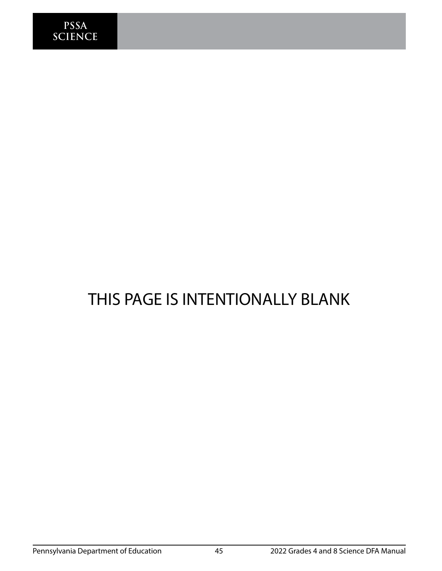

# THIS PAGE IS INTENTIONALLY BLANK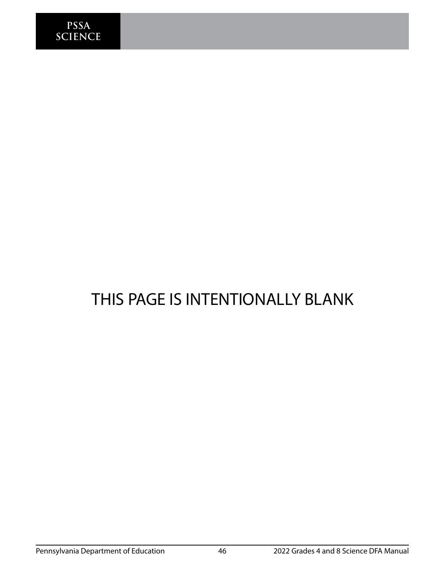

# THIS PAGE IS INTENTIONALLY BLANK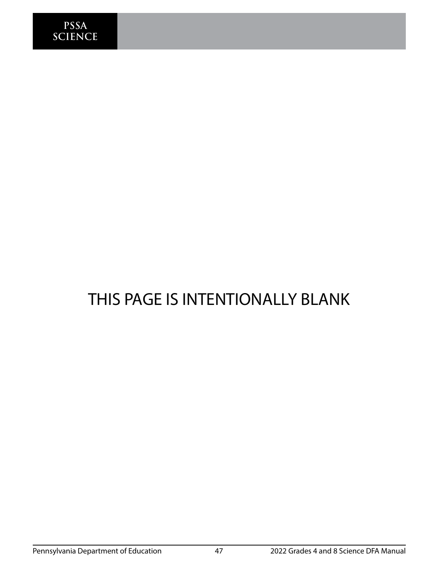

# THIS PAGE IS INTENTIONALLY BLANK